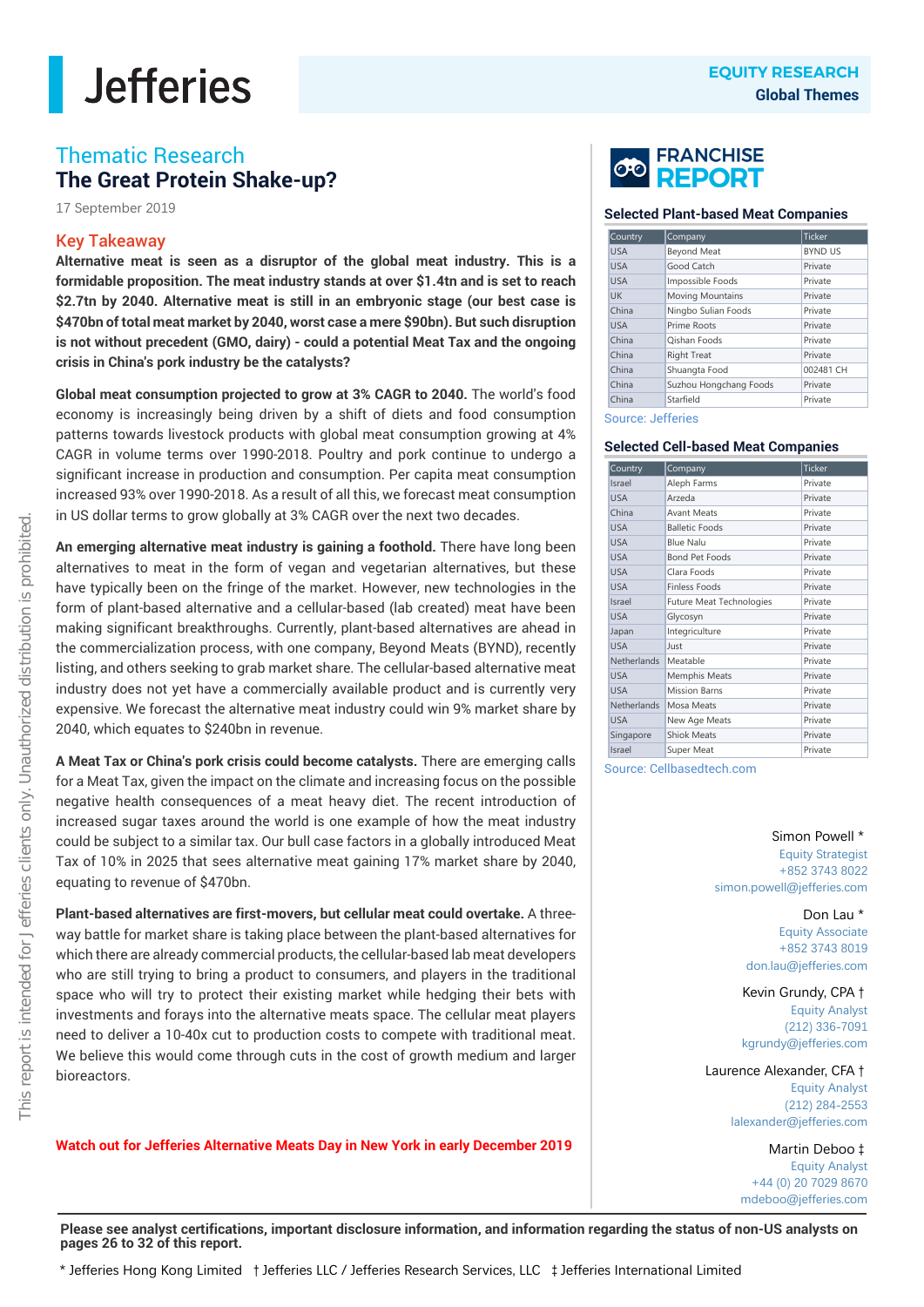### Thematic Research **The Great Protein Shake-up?**

17 September 2019

### Key Takeaway

**Alternative meat is seen as a disruptor of the global meat industry. This is a formidable proposition. The meat industry stands at over \$1.4tn and is set to reach \$2.7tn by 2040. Alternative meat is still in an embryonic stage (our best case is \$470bn of total meat market by 2040, worst case a mere \$90bn). But such disruption is not without precedent (GMO, dairy) - could a potential Meat Tax and the ongoing crisis in China's pork industry be the catalysts?**

**Global meat consumption projected to grow at 3% CAGR to 2040.** The world's food economy is increasingly being driven by a shift of diets and food consumption patterns towards livestock products with global meat consumption growing at 4% CAGR in volume terms over 1990-2018. Poultry and pork continue to undergo a significant increase in production and consumption. Per capita meat consumption increased 93% over 1990-2018. As a result of all this, we forecast meat consumption in US dollar terms to grow globally at 3% CAGR over the next two decades.

**An emerging alternative meat industry is gaining a foothold.** There have long been alternatives to meat in the form of vegan and vegetarian alternatives, but these have typically been on the fringe of the market. However, new technologies in the form of plant-based alternative and a cellular-based (lab created) meat have been making significant breakthroughs. Currently, plant-based alternatives are ahead in the commercialization process, with one company, Beyond Meats (BYND), recently listing, and others seeking to grab market share. The cellular-based alternative meat industry does not yet have a commercially available product and is currently very expensive. We forecast the alternative meat industry could win 9% market share by 2040, which equates to \$240bn in revenue.

**A Meat Tax or China's pork crisis could become catalysts.** There are emerging calls for a Meat Tax, given the impact on the climate and increasing focus on the possible negative health consequences of a meat heavy diet. The recent introduction of increased sugar taxes around the world is one example of how the meat industry could be subject to a similar tax. Our bull case factors in a globally introduced Meat Tax of 10% in 2025 that sees alternative meat gaining 17% market share by 2040, equating to revenue of \$470bn.

**Plant-based alternatives are first-movers, but cellular meat could overtake.** A threeway battle for market share is taking place between the plant-based alternatives for which there are already commercial products, the cellular-based lab meat developers who are still trying to bring a product to consumers, and players in the traditional space who will try to protect their existing market while hedging their bets with investments and forays into the alternative meats space. The cellular meat players need to deliver a 10-40x cut to production costs to compete with traditional meat. We believe this would come through cuts in the cost of growth medium and larger bioreactors.

**Watch out for Jefferies Alternative Meats Day in New York in early December 2019**



#### **Selected Plant-based Meat Companies**

| Country    | Company                 | <b>Ticker</b>  |  |
|------------|-------------------------|----------------|--|
| <b>USA</b> | <b>Beyond Meat</b>      | <b>BYND US</b> |  |
| <b>USA</b> | Good Catch              | Private        |  |
| <b>USA</b> | Impossible Foods        | Private        |  |
| <b>UK</b>  | <b>Moving Mountains</b> | Private        |  |
| China      | Ningbo Sulian Foods     | Private        |  |
| <b>USA</b> | Prime Roots             | Private        |  |
| China      | Oishan Foods            | Private        |  |
| China      | <b>Right Treat</b>      | Private        |  |
| China      | Shuangta Food           | 002481 CH      |  |
| China      | Suzhou Hongchang Foods  | Private        |  |
| China      | Starfield               | Private        |  |

#### Source: Jefferies

#### **Selected Cell-based Meat Companies**

|                                                                                                                                                                                      |                                                                 | <b>EQUITY RESEARCH</b>        |
|--------------------------------------------------------------------------------------------------------------------------------------------------------------------------------------|-----------------------------------------------------------------|-------------------------------|
|                                                                                                                                                                                      |                                                                 | <b>Global Themes</b>          |
|                                                                                                                                                                                      | <b>CO FRANCHISE</b>                                             |                               |
|                                                                                                                                                                                      | <b>Selected Plant-based Meat Companies</b>                      |                               |
| Country<br><b>USA</b>                                                                                                                                                                | Company<br><b>Beyond Meat</b>                                   | Ticker<br><b>BYND US</b>      |
| <b>USA</b><br><b>USA</b><br><b>UK</b>                                                                                                                                                | Good Catch<br>Impossible Foods<br>Moving Mountains              | Private<br>Private<br>Private |
| China<br><b>USA</b><br>China                                                                                                                                                         | Ningbo Sulian Foods<br>Prime Roots<br>Qishan Foods              | Private<br>Private<br>Private |
| China<br>China                                                                                                                                                                       | <b>Right Treat</b><br>Shuangta Food                             | Private<br>002481 CH          |
| China<br>China<br><b>Source: Jefferies</b>                                                                                                                                           | Suzhou Hongchang Foods<br>Starfield                             | Private<br>Private            |
|                                                                                                                                                                                      | <b>Selected Cell-based Meat Companies</b>                       |                               |
| Country<br>Israel<br><b>USA</b>                                                                                                                                                      | Company<br>Aleph Farms<br>Arzeda                                | Ticker<br>Private<br>Private  |
|                                                                                                                                                                                      |                                                                 |                               |
|                                                                                                                                                                                      | <b>Avant Meats</b><br><b>Balletic Foods</b><br><b>Blue Nalu</b> | Private<br>Private<br>Private |
|                                                                                                                                                                                      | <b>Bond Pet Foods</b><br>Clara Foods                            | Private<br>Private            |
|                                                                                                                                                                                      | Finless Foods<br>Future Meat Technologies<br>Glycosyn           | Private<br>Private<br>Private |
|                                                                                                                                                                                      | Integriculture<br>Just<br>Meatable                              | Private<br>Private<br>Private |
| China<br><b>USA</b><br><b>USA</b><br><b>USA</b><br><b>USA</b><br><b>USA</b><br>Israel<br><b>USA</b><br>Japan<br><b>USA</b><br>Netherlands<br><b>USA</b><br><b>USA</b><br>Netherlands | Memphis Meats<br><b>Mission Barns</b><br>Mosa Meats             | Private<br>Private<br>Private |
| <b>USA</b><br>Singapore<br>Israel                                                                                                                                                    | New Age Meats<br><b>Shiok Meats</b><br>Super Meat               | Private<br>Private<br>Private |

Source: Cellbasedtech.com

### Simon Powell \*

Equity Strategist +852 3743 8022 simon.powell@jefferies.com

> Don Lau \* Equity Associate +852 3743 8019 don.lau@jefferies.com

Kevin Grundy, CPA † Equity Analyst (212) 336-7091 kgrundy@jefferies.com

Laurence Alexander, CFA † Equity Analyst (212) 284-2553 lalexander@jefferies.com

> Martin Deboo ‡ Equity Analyst +44 (0) 20 7029 8670 mdeboo@jefferies.com

**Please see analyst certifications, important disclosure information, and information regarding the status of non-US analysts on pages 26 to 32 of this report.**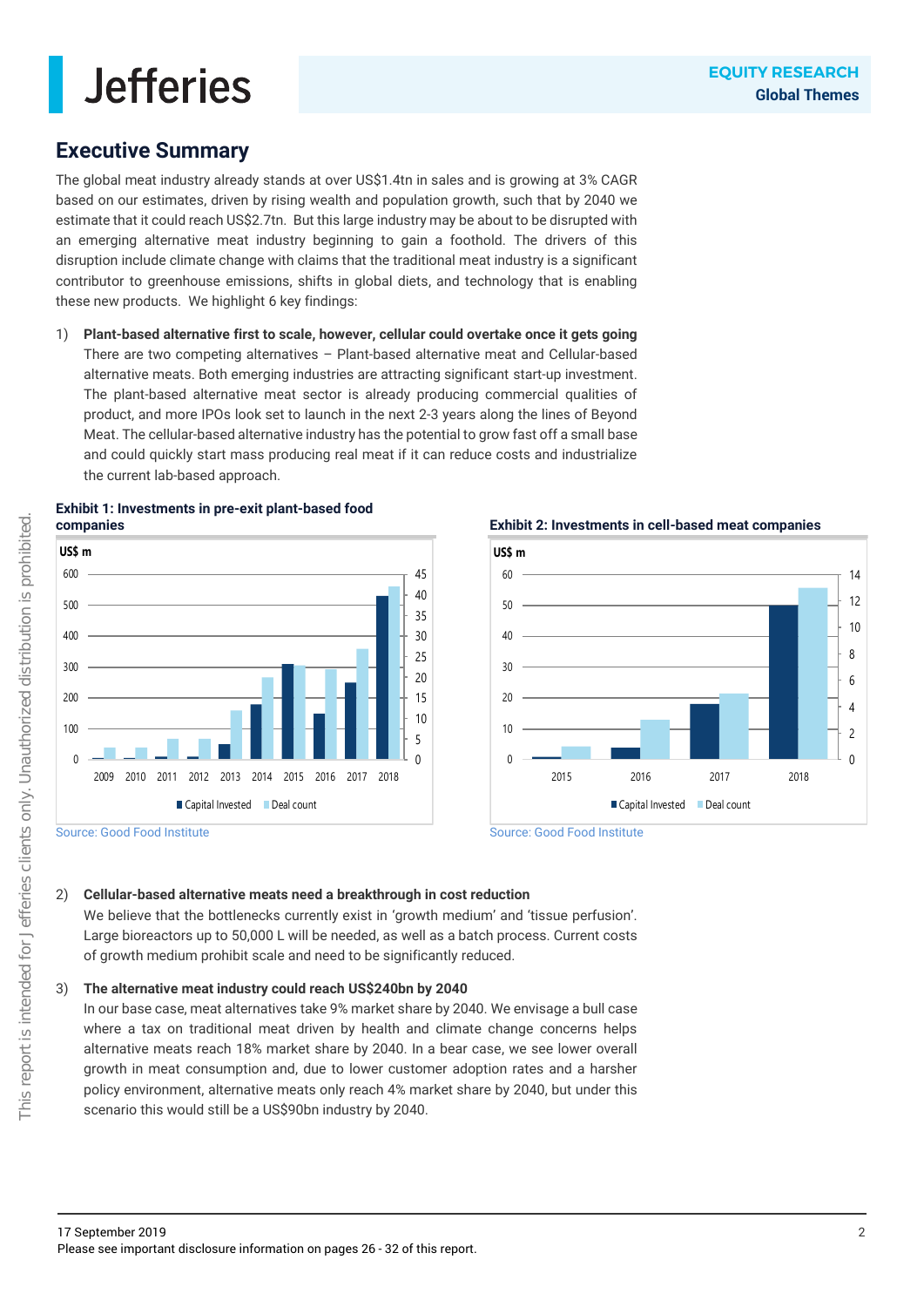### **Executive Summary**

The global meat industry already stands at over US\$1.4tn in sales and is growing at 3% CAGR based on our estimates, driven by rising wealth and population growth, such that by 2040 we estimate that it could reach US\$2.7tn. But this large industry may be about to be disrupted with an emerging alternative meat industry beginning to gain a foothold. The drivers of this disruption include climate change with claims that the traditional meat industry is a significant contributor to greenhouse emissions, shifts in global diets, and technology that is enabling these new products. We highlight 6 key findings:

1) **Plant-based alternative first to scale, however, cellular could overtake once it gets going** There are two competing alternatives – Plant-based alternative meat and Cellular-based alternative meats. Both emerging industries are attracting significant start-up investment. The plant-based alternative meat sector is already producing commercial qualities of product, and more IPOs look set to launch in the next 2-3 years along the lines of Beyond Meat. The cellular-based alternative industry has the potential to grow fast off a small base and could quickly start mass producing real meat if it can reduce costs and industrialize the current lab-based approach.







#### **Exhibit 2: Investments in cell-based meat companies**



Source: Good Food Institute

### 2) **Cellular-based alternative meats need a breakthrough in cost reduction**

We believe that the bottlenecks currently exist in 'growth medium' and 'tissue perfusion'. Large bioreactors up to 50,000 L will be needed, as well as a batch process. Current costs of growth medium prohibit scale and need to be significantly reduced.

#### 3) **The alternative meat industry could reach US\$240bn by 2040**

In our base case, meat alternatives take 9% market share by 2040. We envisage a bull case where a tax on traditional meat driven by health and climate change concerns helps alternative meats reach 18% market share by 2040. In a bear case, we see lower overall growth in meat consumption and, due to lower customer adoption rates and a harsher policy environment, alternative meats only reach 4% market share by 2040, but under this scenario this would still be a US\$90bn industry by 2040.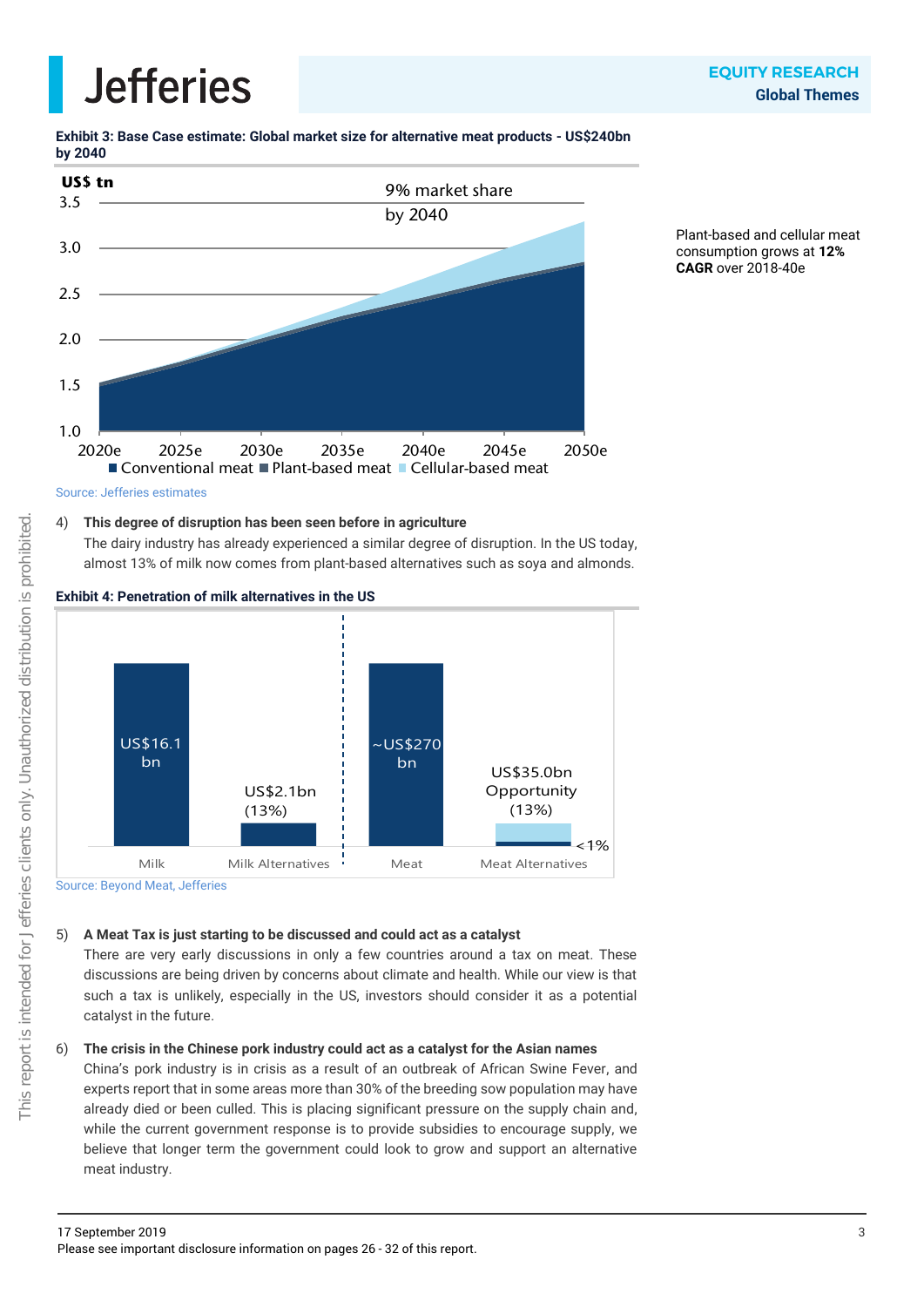**Exhibit 3: Base Case estimate: Global market size for alternative meat products - US\$240bn by 2040**



Plant-based and cellular meat consumption grows at **12% CAGR** over 2018-40e



### 4) **This degree of disruption has been seen before in agriculture**

The dairy industry has already experienced a similar degree of disruption. In the US today, almost 13% of milk now comes from plant-based alternatives such as soya and almonds.



#### **Exhibit 4: Penetration of milk alternatives in the US**

Source: Beyond Meat, Jefferies

### 5) **A Meat Tax is just starting to be discussed and could act as a catalyst**

There are very early discussions in only a few countries around a tax on meat. These discussions are being driven by concerns about climate and health. While our view is that such a tax is unlikely, especially in the US, investors should consider it as a potential catalyst in the future.

### 6) **The crisis in the Chinese pork industry could act as a catalyst for the Asian names**

China's pork industry is in crisis as a result of an outbreak of African Swine Fever, and experts report that in some areas more than 30% of the breeding sow population may have already died or been culled. This is placing significant pressure on the supply chain and, while the current government response is to provide subsidies to encourage supply, we believe that longer term the government could look to grow and support an alternative meat industry.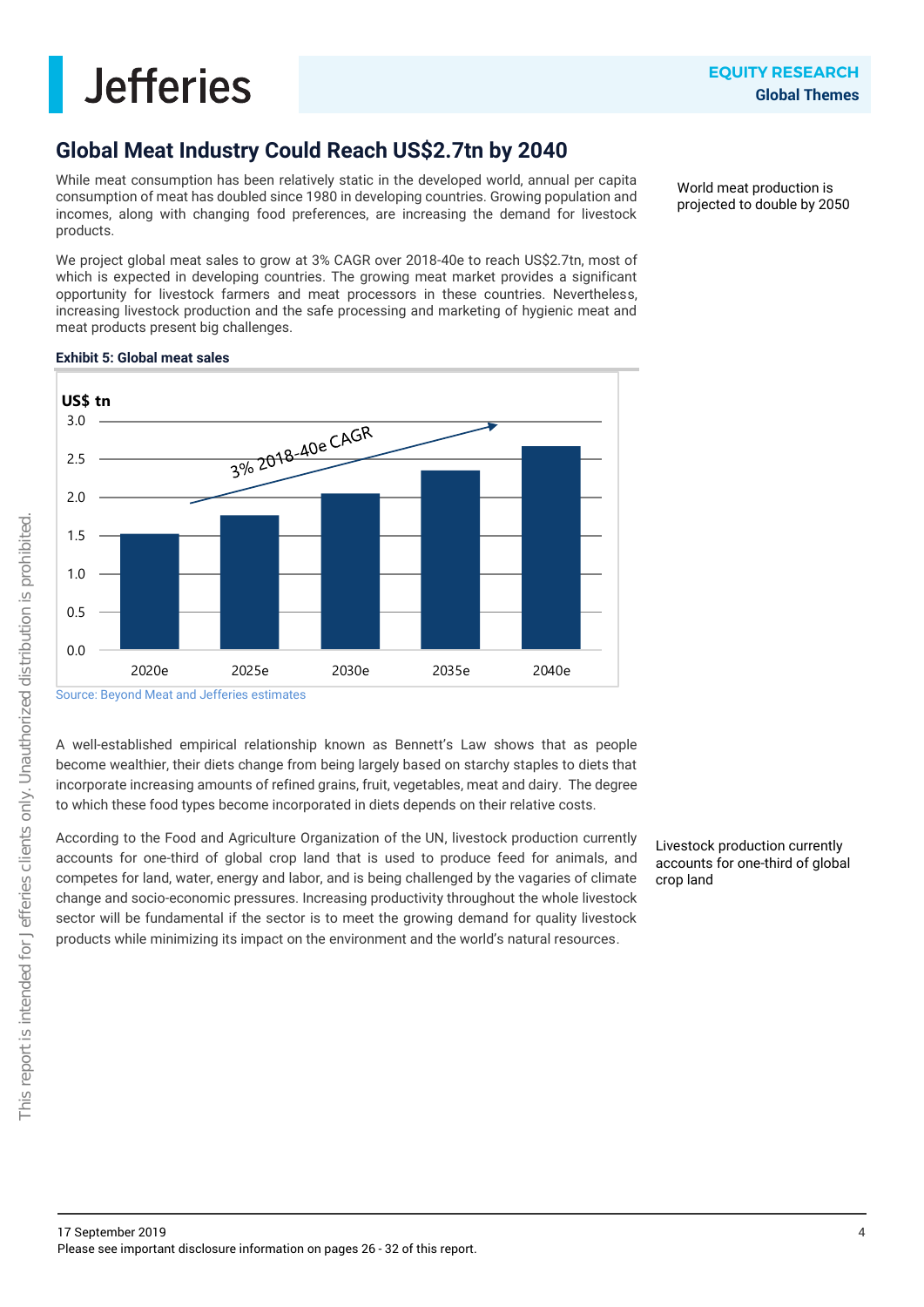### **Global Meat Industry Could Reach US\$2.7tn by 2040**

While meat consumption has been relatively static in the developed world, annual per capita consumption of meat has doubled since 1980 in developing countries. Growing population and incomes, along with changing food preferences, are increasing the demand for livestock products.

We project global meat sales to grow at 3% CAGR over 2018-40e to reach US\$2.7tn, most of which is expected in developing countries. The growing meat market provides a significant opportunity for livestock farmers and meat processors in these countries. Nevertheless, increasing livestock production and the safe processing and marketing of hygienic meat and meat products present big challenges.

World meat production is projected to double by 2050

### **Exhibit 5: Global meat sales**



Source: Beyond Meat and Jefferies estimates

A well-established empirical relationship known as Bennett's Law shows that as people become wealthier, their diets change from being largely based on starchy staples to diets that incorporate increasing amounts of refined grains, fruit, vegetables, meat and dairy. The degree to which these food types become incorporated in diets depends on their relative costs.

According to the Food and Agriculture Organization of the UN, livestock production currently accounts for one-third of global crop land that is used to produce feed for animals, and competes for land, water, energy and labor, and is being challenged by the vagaries of climate change and socio-economic pressures. Increasing productivity throughout the whole livestock sector will be fundamental if the sector is to meet the growing demand for quality livestock products while minimizing its impact on the environment and the world's natural resources.

Livestock production currently accounts for one-third of global crop land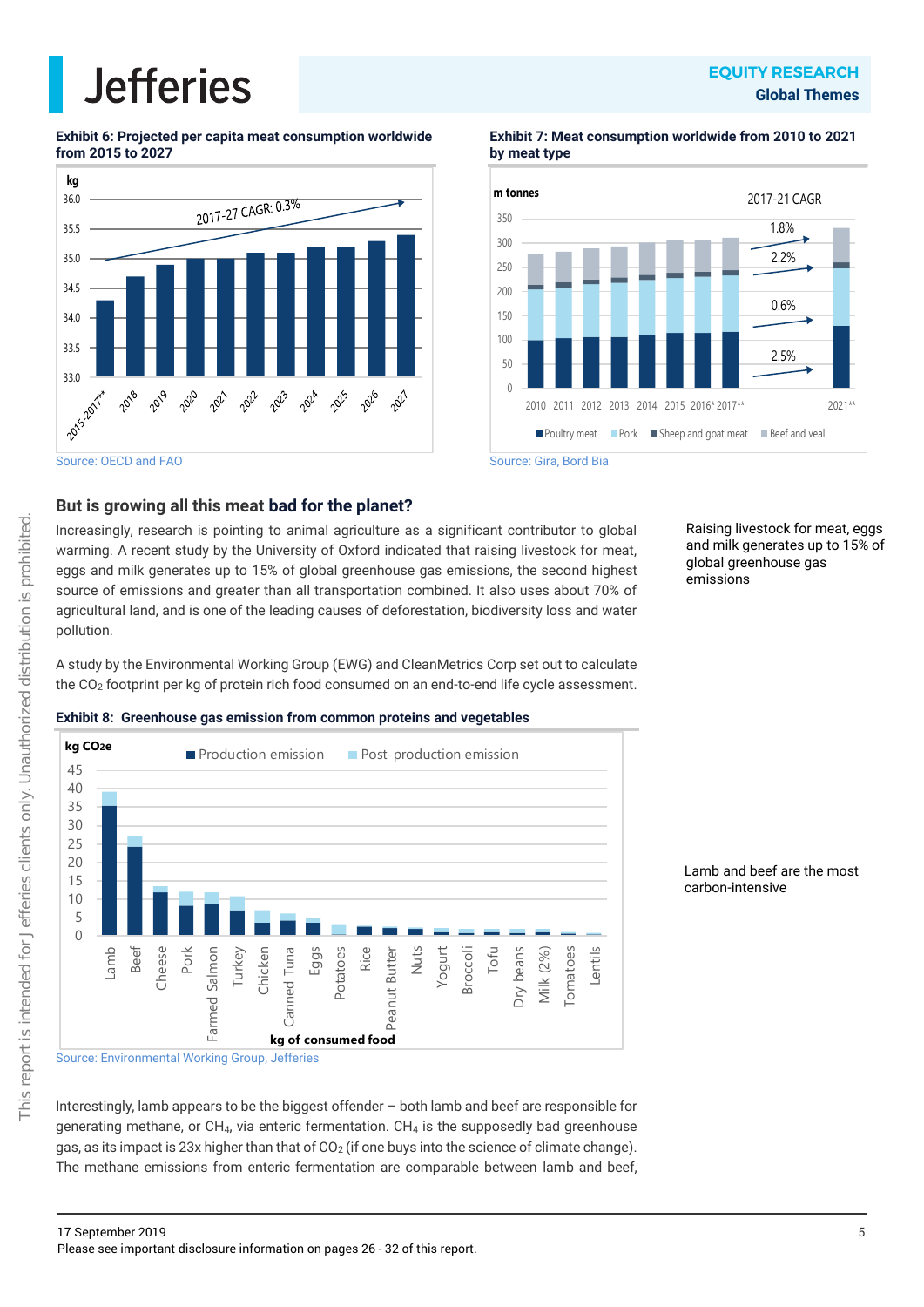### **EQUITY RESEARCH Global Themes**

**Exhibit 6: Projected per capita meat consumption worldwide from 2015 to 2027**



**Exhibit 7: Meat consumption worldwide from 2010 to 2021 by meat type**



### Source: Gira, Bord Bia

### **But is growing all this meat bad for the planet?**

Increasingly, research is pointing to animal agriculture as a significant contributor to global warming. A recent study by the University of Oxford indicated that raising livestock for meat, eggs and milk generates up to 15% of global greenhouse gas emissions, the second highest source of emissions and greater than all transportation combined. It also uses about 70% of agricultural land, and is one of the leading causes of deforestation, biodiversity loss and water pollution.

Raising livestock for meat, eggs and milk generates up to 15% of global greenhouse gas emissions

A study by the Environmental Working Group (EWG) and CleanMetrics Corp set out to calculate the CO<sup>2</sup> footprint per kg of protein rich food consumed on an end-to-end life cycle assessment.

#### **Exhibit 8: Greenhouse gas emission from common proteins and vegetables**



Lamb and beef are the most carbon-intensive

Interestingly, lamb appears to be the biggest offender – both lamb and beef are responsible for generating methane, or  $CH_4$ , via enteric fermentation.  $CH_4$  is the supposedly bad greenhouse gas, as its impact is 23x higher than that of  $CO<sub>2</sub>$  (if one buys into the science of climate change). The methane emissions from enteric fermentation are comparable between lamb and beef,

Source: OECD and FAO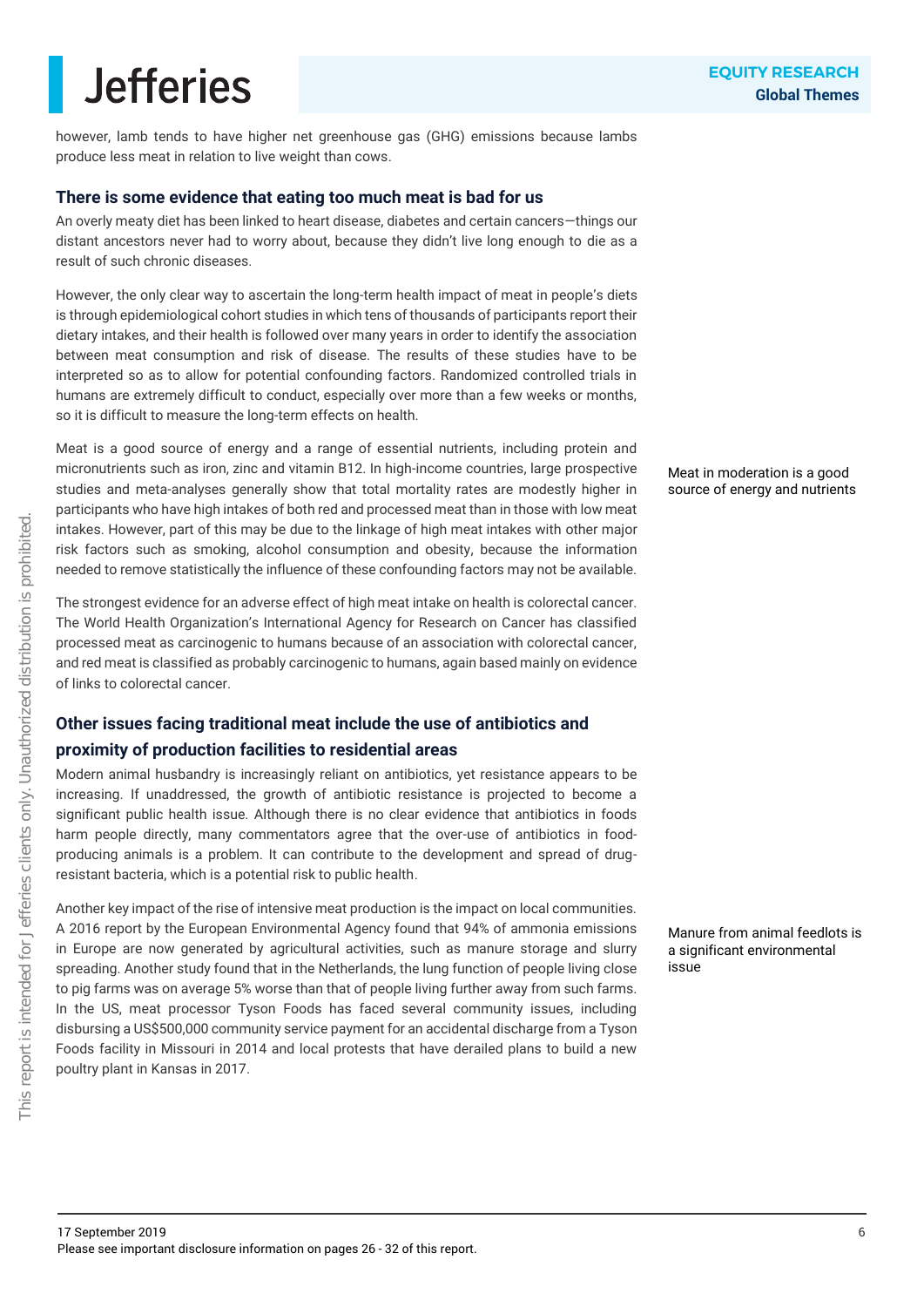however, lamb tends to have higher net greenhouse gas (GHG) emissions because lambs produce less meat in relation to live weight than cows.

### **There is some evidence that eating too much meat is bad for us**

An overly meaty diet has been linked to heart disease, diabetes and certain cancers—things our distant ancestors never had to worry about, because they didn't live long enough to die as a result of such chronic diseases.

However, the only clear way to ascertain the long-term health impact of meat in people's diets is through epidemiological cohort studies in which tens of thousands of participants report their dietary intakes, and their health is followed over many years in order to identify the association between meat consumption and risk of disease. The results of these studies have to be interpreted so as to allow for potential confounding factors. Randomized controlled trials in humans are extremely difficult to conduct, especially over more than a few weeks or months, so it is difficult to measure the long-term effects on health.

Meat is a good source of energy and a range of essential nutrients, including protein and micronutrients such as iron, zinc and vitamin B12. In high-income countries, large prospective studies and meta-analyses generally show that total mortality rates are modestly higher in participants who have high intakes of both red and processed meat than in those with low meat intakes. However, part of this may be due to the linkage of high meat intakes with other major risk factors such as smoking, alcohol consumption and obesity, because the information needed to remove statistically the influence of these confounding factors may not be available.

The strongest evidence for an adverse effect of high meat intake on health is colorectal cancer. The World Health Organization's International Agency for Research on Cancer has classified processed meat as carcinogenic to humans because of an association with colorectal cancer, and red meat is classified as probably carcinogenic to humans, again based mainly on evidence of links to colorectal cancer.

### **Other issues facing traditional meat include the use of antibiotics and**

### **proximity of production facilities to residential areas**

Modern animal husbandry is increasingly reliant on antibiotics, yet resistance appears to be increasing. If unaddressed, the growth of antibiotic resistance is projected to become a significant public health issue. Although there is no clear evidence that antibiotics in foods harm people directly, many commentators agree that the over-use of antibiotics in foodproducing animals is a problem. It can contribute to the development and spread of drugresistant bacteria, which is a potential risk to public health.

Another key impact of the rise of intensive meat production is the impact on local communities. A 2016 report by the European Environmental Agency found that 94% of ammonia emissions in Europe are now generated by agricultural activities, such as manure storage and slurry spreading. Another study found that in the Netherlands, the lung function of people living close to pig farms was on average 5% worse than that of people living further away from such farms. In the US, meat processor Tyson Foods has faced several community issues, including disbursing a US\$500,000 community service payment for an accidental discharge from a Tyson Foods facility in Missouri in 2014 and local protests that have derailed plans to build a new poultry plant in Kansas in 2017.

Meat in moderation is a good source of energy and nutrients

Manure from animal feedlots is a significant environmental issue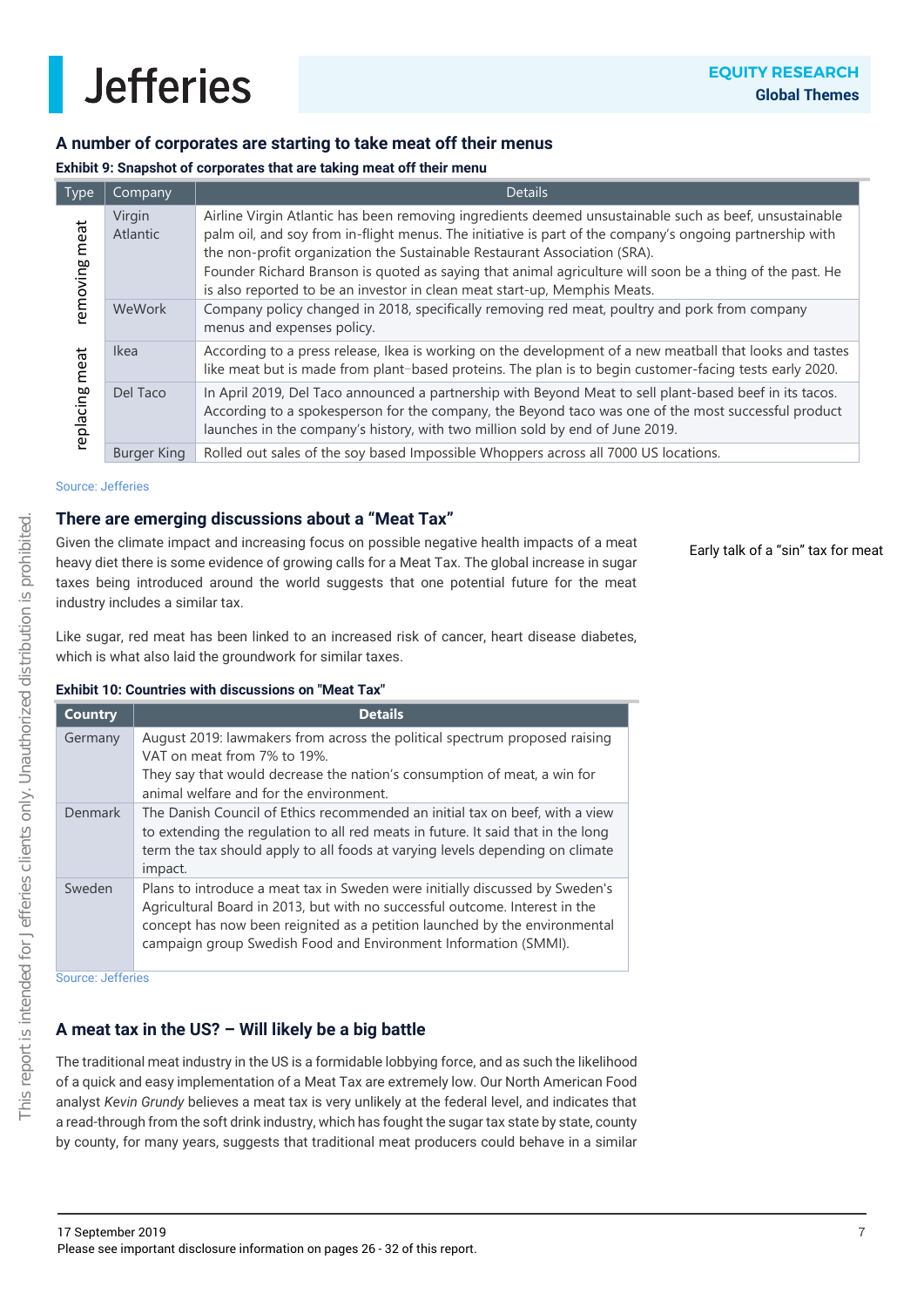

### **A number of corporates are starting to take meat off their menus**

#### **Exhibit 9: Snapshot of corporates that are taking meat off their menu**

| <b>Type</b>     | Company            | <b>Details</b>                                                                                                                                                                                                                                                                                                                                                                                                                                                                           |
|-----------------|--------------------|------------------------------------------------------------------------------------------------------------------------------------------------------------------------------------------------------------------------------------------------------------------------------------------------------------------------------------------------------------------------------------------------------------------------------------------------------------------------------------------|
| meat<br>emoving | Virgin<br>Atlantic | Airline Virgin Atlantic has been removing ingredients deemed unsustainable such as beef, unsustainable<br>palm oil, and soy from in-flight menus. The initiative is part of the company's ongoing partnership with<br>the non-profit organization the Sustainable Restaurant Association (SRA).<br>Founder Richard Branson is quoted as saying that animal agriculture will soon be a thing of the past. He<br>is also reported to be an investor in clean meat start-up, Memphis Meats. |
| WeWork          |                    | Company policy changed in 2018, specifically removing red meat, poultry and pork from company<br>menus and expenses policy.                                                                                                                                                                                                                                                                                                                                                              |
| meat            | <b>Ikea</b>        | According to a press release, Ikea is working on the development of a new meatball that looks and tastes<br>like meat but is made from plant-based proteins. The plan is to begin customer-facing tests early 2020.                                                                                                                                                                                                                                                                      |
| replacing       | Del Taco           | In April 2019, Del Taco announced a partnership with Beyond Meat to sell plant-based beef in its tacos.<br>According to a spokesperson for the company, the Beyond taco was one of the most successful product<br>launches in the company's history, with two million sold by end of June 2019.                                                                                                                                                                                          |
|                 | <b>Burger King</b> | Rolled out sales of the soy based Impossible Whoppers across all 7000 US locations.                                                                                                                                                                                                                                                                                                                                                                                                      |

#### Source: Jefferies

### **There are emerging discussions about a "Meat Tax"**

Given the climate impact and increasing focus on possible negative health impacts of a meat heavy diet there is some evidence of growing calls for a Meat Tax. The global increase in sugar taxes being introduced around the world suggests that one potential future for the meat industry includes a similar tax.

Early talk of a "sin" tax for meat

Like sugar, red meat has been linked to an increased risk of cancer, heart disease diabetes, which is what also laid the groundwork for similar taxes.

#### **Exhibit 10: Countries with discussions on "Meat Tax"**

| <b>Country</b> | <b>Details</b>                                                                                                                                                                                                                                                                                               |
|----------------|--------------------------------------------------------------------------------------------------------------------------------------------------------------------------------------------------------------------------------------------------------------------------------------------------------------|
| Germany        | August 2019: lawmakers from across the political spectrum proposed raising<br>VAT on meat from 7% to 19%.<br>They say that would decrease the nation's consumption of meat, a win for<br>animal welfare and for the environment.                                                                             |
| Denmark        | The Danish Council of Ethics recommended an initial tax on beef, with a view<br>to extending the regulation to all red meats in future. It said that in the long<br>term the tax should apply to all foods at varying levels depending on climate<br>impact.                                                 |
| Sweden         | Plans to introduce a meat tax in Sweden were initially discussed by Sweden's<br>Agricultural Board in 2013, but with no successful outcome. Interest in the<br>concept has now been reignited as a petition launched by the environmental<br>campaign group Swedish Food and Environment Information (SMMI). |

Source: Jefferies

### **A meat tax in the US? – Will likely be a big battle**

The traditional meat industry in the US is a formidable lobbying force, and as such the likelihood of a quick and easy implementation of a Meat Tax are extremely low. Our North American Food analyst *Kevin Grundy* believes a meat tax is very unlikely at the federal level, and indicates that a read-through from the soft drink industry, which has fought the sugar tax state by state, county by county, for many years, suggests that traditional meat producers could behave in a similar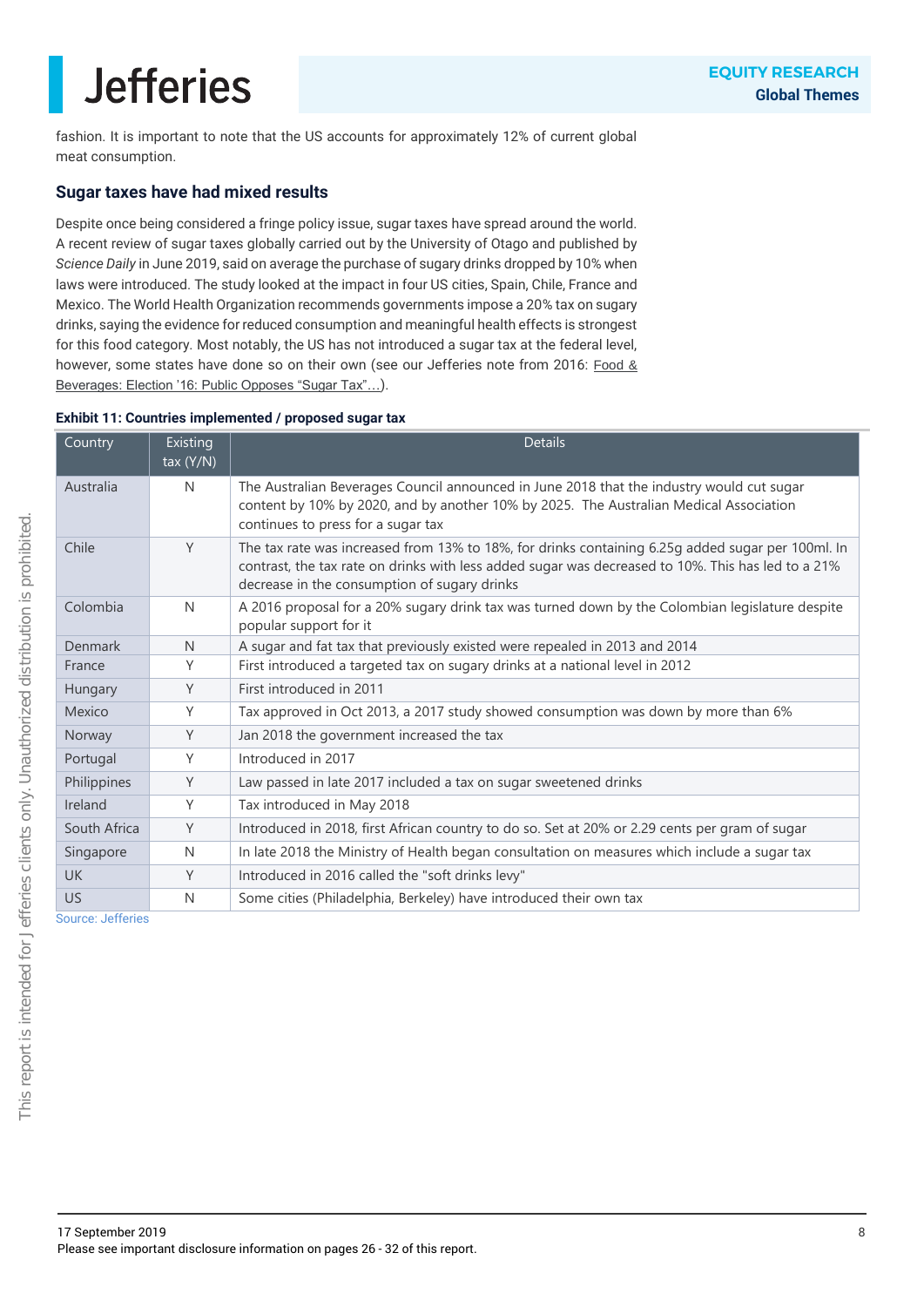fashion. It is important to note that the US accounts for approximately 12% of current global meat consumption.

### **Sugar taxes have had mixed results**

Despite once being considered a fringe policy issue, sugar taxes have spread around the world. A recent review of sugar taxes globally carried out by the University of Otago and published by *Science Daily* in June 2019, said on average the purchase of sugary drinks dropped by 10% when laws were introduced. The study looked at the impact in four US cities, Spain, Chile, France and Mexico. The World Health Organization recommends governments impose a 20% tax on sugary drinks, saying the evidence for reduced consumption and meaningful health effects is strongest for this food category. Most notably, the US has not introduced a sugar tax at the federal level, however, some states have done so on their own (see our Jefferies note from 2016: Food & [Beverages: Election '16: Public Opposes "Sugar Tax"…](https://javatar.bluematrix.com/pdf/Aeh5DlkS)).

#### **Exhibit 11: Countries implemented / proposed sugar tax**

| Country      | Existing<br>tax $(Y/N)$ | <b>Details</b>                                                                                                                                                                                                                                          |  |
|--------------|-------------------------|---------------------------------------------------------------------------------------------------------------------------------------------------------------------------------------------------------------------------------------------------------|--|
| Australia    | N                       | The Australian Beverages Council announced in June 2018 that the industry would cut sugar<br>content by 10% by 2020, and by another 10% by 2025. The Australian Medical Association<br>continues to press for a sugar tax                               |  |
| Chile        | Y                       | The tax rate was increased from 13% to 18%, for drinks containing 6.25g added sugar per 100ml. In<br>contrast, the tax rate on drinks with less added sugar was decreased to 10%. This has led to a 21%<br>decrease in the consumption of sugary drinks |  |
| Colombia     | N                       | A 2016 proposal for a 20% sugary drink tax was turned down by the Colombian legislature despite<br>popular support for it                                                                                                                               |  |
| Denmark      | N                       | A sugar and fat tax that previously existed were repealed in 2013 and 2014                                                                                                                                                                              |  |
| France       | Υ                       | First introduced a targeted tax on sugary drinks at a national level in 2012                                                                                                                                                                            |  |
| Hungary      | Y                       | First introduced in 2011                                                                                                                                                                                                                                |  |
| Mexico       | Υ                       | Tax approved in Oct 2013, a 2017 study showed consumption was down by more than 6%                                                                                                                                                                      |  |
| Norway       | Y                       | Jan 2018 the government increased the tax                                                                                                                                                                                                               |  |
| Portugal     | Υ                       | Introduced in 2017                                                                                                                                                                                                                                      |  |
| Philippines  | Y                       | Law passed in late 2017 included a tax on sugar sweetened drinks                                                                                                                                                                                        |  |
| Ireland      | Υ                       | Tax introduced in May 2018                                                                                                                                                                                                                              |  |
| South Africa | Y                       | Introduced in 2018, first African country to do so. Set at 20% or 2.29 cents per gram of sugar                                                                                                                                                          |  |
| Singapore    | N                       | In late 2018 the Ministry of Health began consultation on measures which include a sugar tax                                                                                                                                                            |  |
| <b>UK</b>    | Y                       | Introduced in 2016 called the "soft drinks levy"                                                                                                                                                                                                        |  |
| <b>US</b>    | $\mathsf{N}$            | Some cities (Philadelphia, Berkeley) have introduced their own tax                                                                                                                                                                                      |  |

Source: Jefferies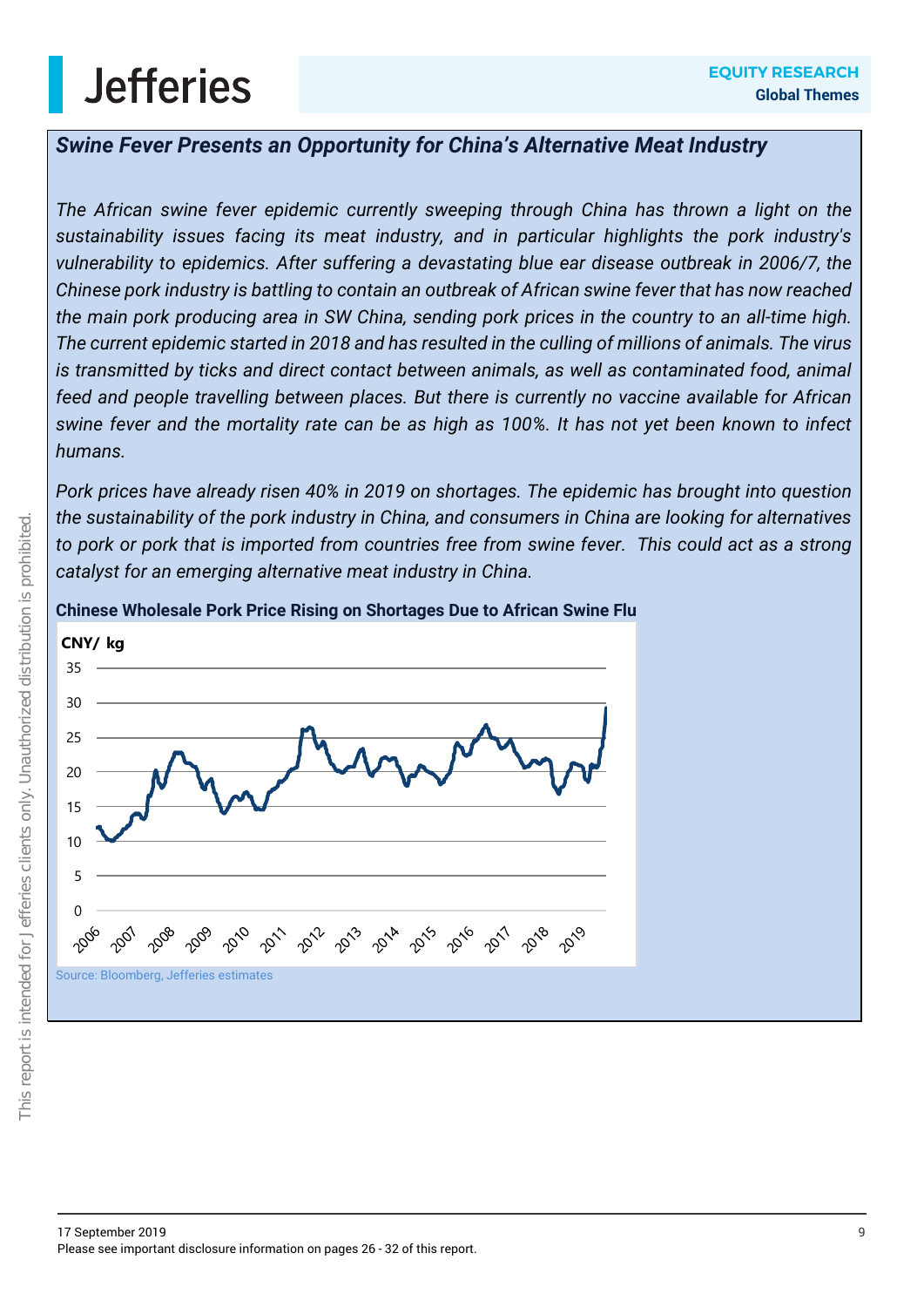### *Swine Fever Presents an Opportunity for China's Alternative Meat Industry*

*The African swine fever epidemic currently sweeping through China has thrown a light on the sustainability issues facing its meat industry, and in particular highlights the pork industry's vulnerability to epidemics. After suffering a devastating blue ear disease outbreak in 2006/7, the Chinese pork industry is battling to contain an outbreak of African swine fever that has now reached the main pork producing area in SW China, sending pork prices in the country to an all-time high. The current epidemic started in 2018 and has resulted in the culling of millions of animals. The virus is transmitted by ticks and direct contact between animals, as well as contaminated food, animal feed and people travelling between places. But there is currently no vaccine available for African swine fever and the mortality rate can be as high as 100%. It has not yet been known to infect humans.*

*Pork prices have already risen 40% in 2019 on shortages. The epidemic has brought into question the sustainability of the pork industry in China, and consumers in China are looking for alternatives to pork or pork that is imported from countries free from swine fever. This could act as a strong catalyst for an emerging alternative meat industry in China.* 

### **Chinese Wholesale Pork Price Rising on Shortages Due to African Swine Flu**

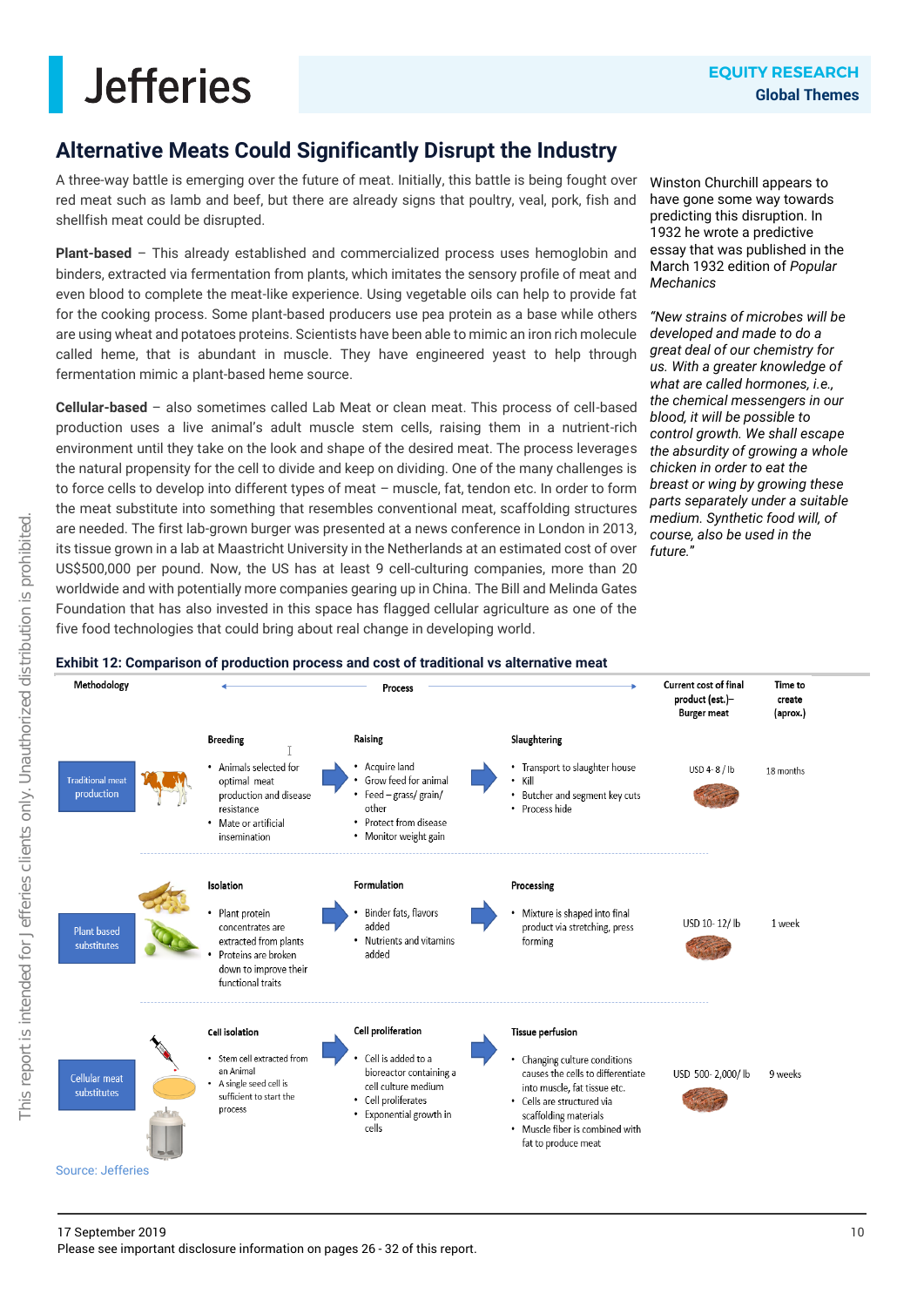### **Alternative Meats Could Significantly Disrupt the Industry**

A three-way battle is emerging over the future of meat. Initially, this battle is being fought over red meat such as lamb and beef, but there are already signs that poultry, veal, pork, fish and shellfish meat could be disrupted.

**Plant-based** – This already established and commercialized process uses hemoglobin and binders, extracted via fermentation from plants, which imitates the sensory profile of meat and even blood to complete the meat-like experience. Using vegetable oils can help to provide fat for the cooking process. Some plant-based producers use pea protein as a base while others are using wheat and potatoes proteins. Scientists have been able to mimic an iron rich molecule called heme, that is abundant in muscle. They have engineered yeast to help through fermentation mimic a plant-based heme source.

**Cellular-based** – also sometimes called Lab Meat or clean meat. This process of cell-based production uses a live animal's adult muscle stem cells, raising them in a nutrient-rich environment until they take on the look and shape of the desired meat. The process leverages the natural propensity for the cell to divide and keep on dividing. One of the many challenges is to force cells to develop into different types of meat – muscle, fat, tendon etc. In order to form the meat substitute into something that resembles conventional meat, scaffolding structures are needed. The first lab-grown burger was presented at a news conference in London in 2013, its tissue grown in a lab at Maastricht University in the Netherlands at an estimated cost of over US\$500,000 per pound. Now, the US has at least 9 cell-culturing companies, more than 20 worldwide and with potentially more companies gearing up in China. The Bill and Melinda Gates Foundation that has also invested in this space has flagged cellular agriculture as one of the five food technologies that could bring about real change in developing world.

Winston Churchill appears to have gone some way towards predicting this disruption. In 1932 he wrote a predictive essay that was published in the March 1932 edition of *Popular Mechanics*

*"New strains of microbes will be developed and made to do a great deal of our chemistry for us. With a greater knowledge of what are called hormones, i.e., the chemical messengers in our blood, it will be possible to control growth. We shall escape the absurdity of growing a whole chicken in order to eat the breast or wing by growing these parts separately under a suitable medium. Synthetic food will, of course, also be used in the future.*"

#### **Exhibit 12: Comparison of production process and cost of traditional vs alternative meat**

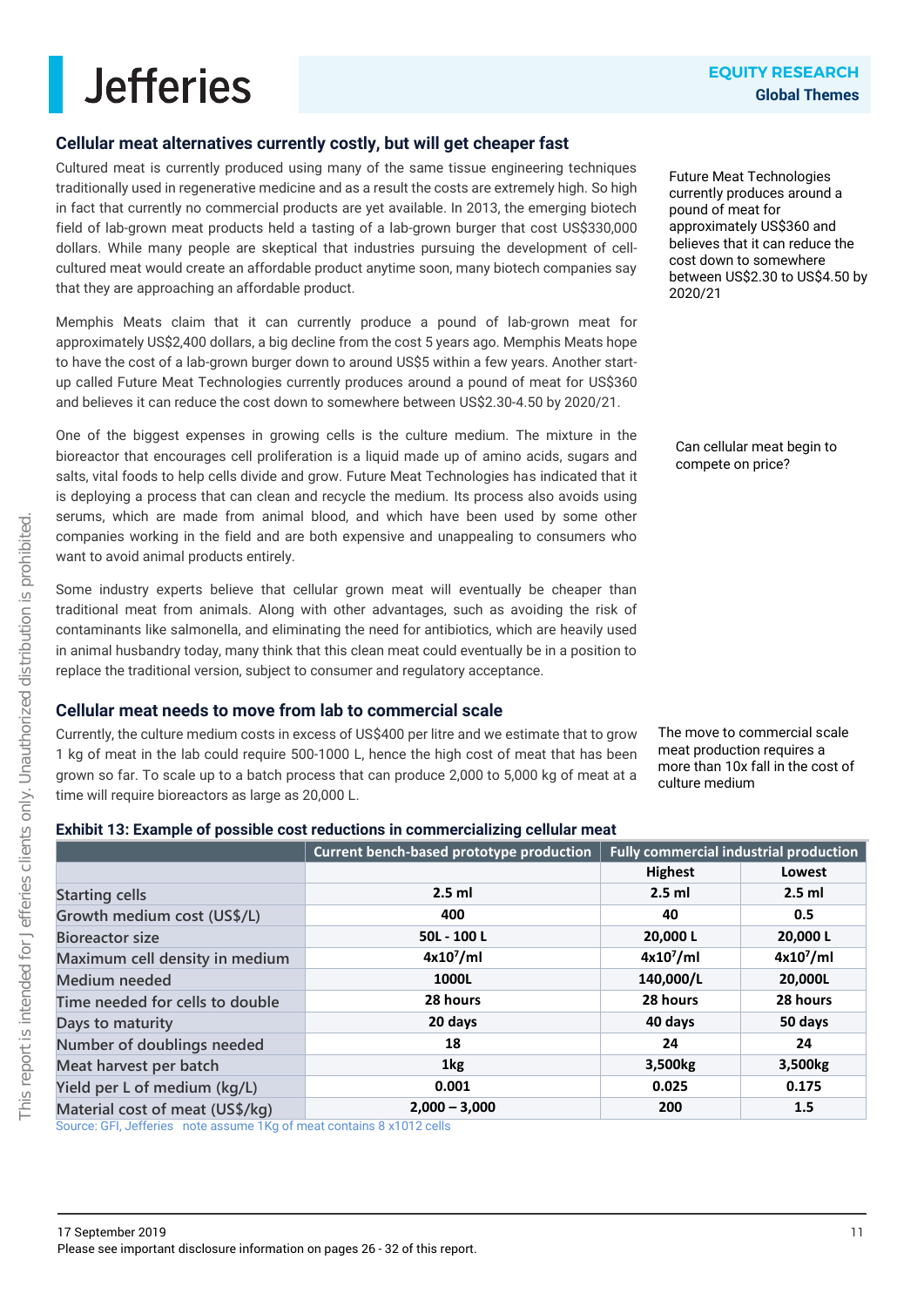### **Cellular meat alternatives currently costly, but will get cheaper fast**

Cultured meat is currently produced using many of the same tissue engineering techniques traditionally used in regenerative medicine and as a result the costs are extremely high. So high in fact that currently no commercial products are yet available. In 2013, the emerging biotech field of lab-grown meat products held a tasting of a lab-grown burger that cost US\$330,000 dollars. While many people are skeptical that industries pursuing the development of cellcultured meat would create an affordable product anytime soon, many biotech companies say that they are approaching an affordable product.

Memphis Meats claim that it can currently produce a pound of lab-grown meat for approximately US\$2,400 dollars, a big decline from the cost 5 years ago. Memphis Meats hope to have the cost of a lab-grown burger down to around US\$5 within a few years. Another startup called Future Meat Technologies currently produces around a pound of meat for US\$360 and believes it can reduce the cost down to somewhere between US\$2.30-4.50 by 2020/21.

One of the biggest expenses in growing cells is the culture medium. The mixture in the bioreactor that encourages cell proliferation is a liquid made up of amino acids, sugars and salts, vital foods to help cells divide and grow. Future Meat Technologies has indicated that it is deploying a process that can clean and recycle the medium. Its process also avoids using serums, which are made from animal blood, and which have been used by some other companies working in the field and are both expensive and unappealing to consumers who want to avoid animal products entirely.

Some industry experts believe that cellular grown meat will eventually be cheaper than traditional meat from animals. Along with other advantages, such as avoiding the risk of contaminants like salmonella, and eliminating the need for antibiotics, which are heavily used in animal husbandry today, many think that this clean meat could eventually be in a position to replace the traditional version, subject to consumer and regulatory acceptance.

### **Cellular meat needs to move from lab to commercial scale**

Currently, the culture medium costs in excess of US\$400 per litre and we estimate that to grow 1 kg of meat in the lab could require 500-1000 L, hence the high cost of meat that has been grown so far. To scale up to a batch process that can produce 2,000 to 5,000 kg of meat at a time will require bioreactors as large as 20,000 L.

Future Meat Technologies currently produces around a pound of meat for approximately US\$360 and believes that it can reduce the cost down to somewhere between US\$2.30 to US\$4.50 by 2020/21

Can cellular meat begin to compete on price?

The move to commercial scale meat production requires a more than 10x fall in the cost of culture medium

### **Exhibit 13: Example of possible cost reductions in commercializing cellular meat**

|                                 | Current bench-based prototype production | <b>Fully commercial industrial production</b> |              |
|---------------------------------|------------------------------------------|-----------------------------------------------|--------------|
|                                 |                                          | <b>Highest</b>                                | Lowest       |
| <b>Starting cells</b>           | $2.5$ ml                                 | $2.5$ ml                                      | $2.5$ ml     |
| Growth medium cost (US\$/L)     | 400                                      | 40                                            | 0.5          |
| <b>Bioreactor size</b>          | 50L - 100L                               | 20,000L                                       | 20,000L      |
| Maximum cell density in medium  | $4x10^7$ /ml                             | $4x10^7$ /ml                                  | $4x10^7$ /ml |
| Medium needed                   | 1000L                                    | 140,000/L                                     | 20,000L      |
| Time needed for cells to double | 28 hours                                 | 28 hours                                      | 28 hours     |
| Days to maturity                | 20 days                                  | 40 days                                       | 50 days      |
| Number of doublings needed      | 18                                       | 24                                            | 24           |
| Meat harvest per batch          | 1kg                                      | 3,500kg                                       | 3,500kg      |
| Yield per L of medium (kg/L)    | 0.001                                    | 0.025                                         | 0.175        |
| Material cost of meat (US\$/kg) | $2,000 - 3,000$                          | 200                                           | 1.5          |

Source: GFI, Jefferies note assume 1Kg of meat contains 8 x1012 cells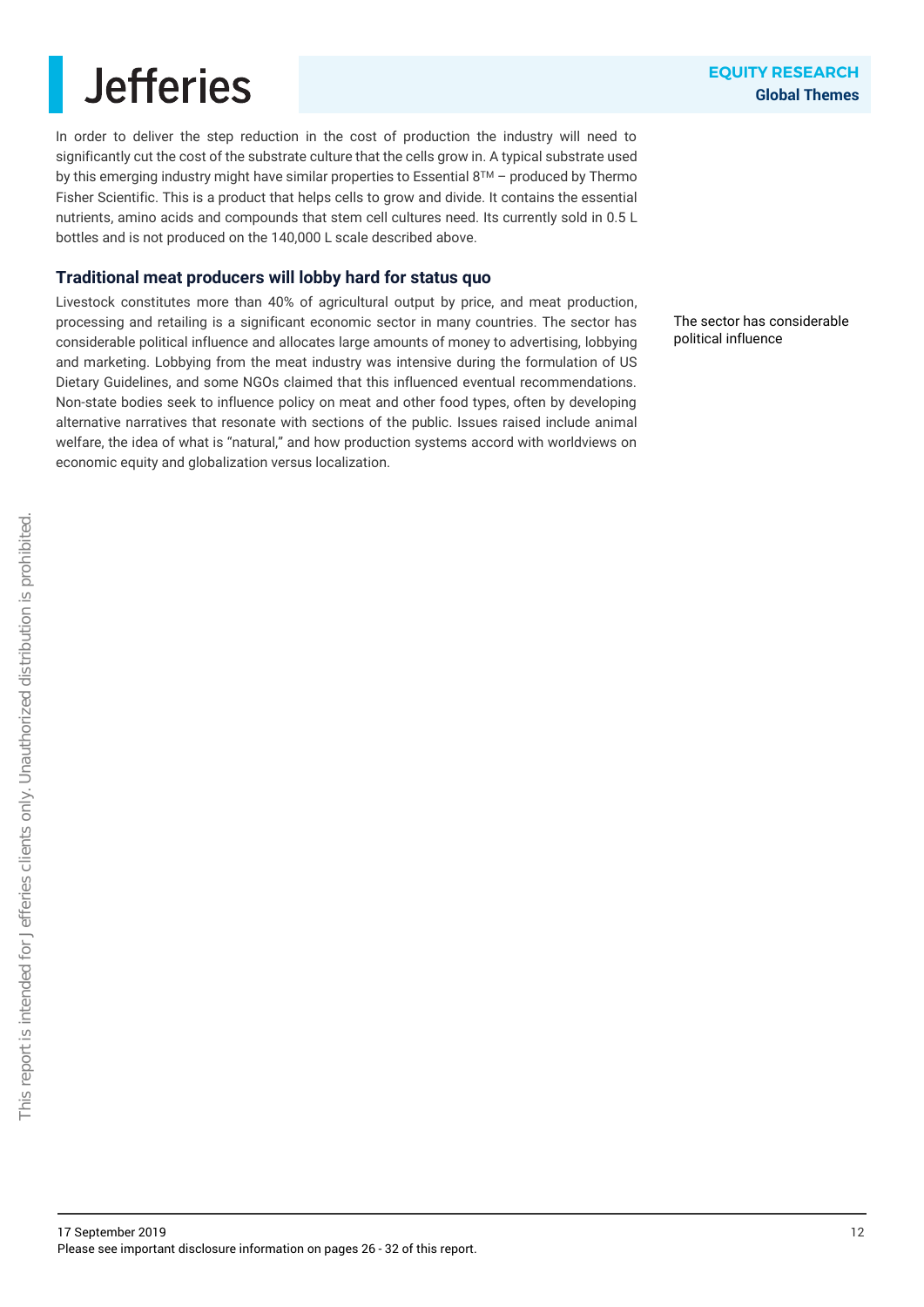In order to deliver the step reduction in the cost of production the industry will need to significantly cut the cost of the substrate culture that the cells grow in. A typical substrate used by this emerging industry might have similar properties to Essential 8TM – produced by Thermo Fisher Scientific. This is a product that helps cells to grow and divide. It contains the essential nutrients, amino acids and compounds that stem cell cultures need. Its currently sold in 0.5 L bottles and is not produced on the 140,000 L scale described above.

### **Traditional meat producers will lobby hard for status quo**

Livestock constitutes more than 40% of agricultural output by price, and meat production, processing and retailing is a significant economic sector in many countries. The sector has considerable political influence and allocates large amounts of money to advertising, lobbying and marketing. Lobbying from the meat industry was intensive during the formulation of US Dietary Guidelines, and some NGOs claimed that this influenced eventual recommendations. Non-state bodies seek to influence policy on meat and other food types, often by developing alternative narratives that resonate with sections of the public. Issues raised include animal welfare, the idea of what is "natural," and how production systems accord with worldviews on economic equity and globalization versus localization.

The sector has considerable political influence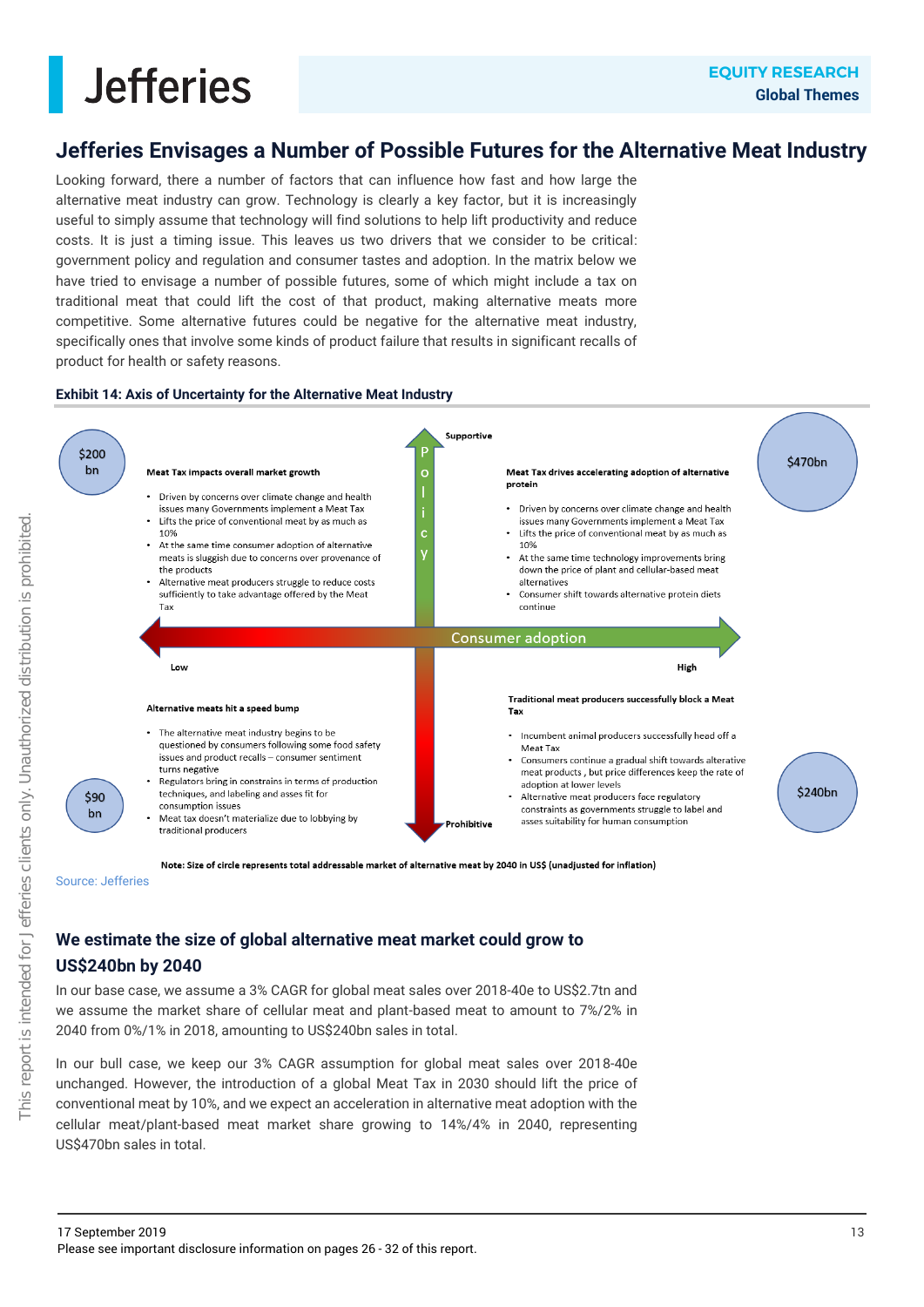### **Jefferies Envisages a Number of Possible Futures for the Alternative Meat Industry**

Looking forward, there a number of factors that can influence how fast and how large the alternative meat industry can grow. Technology is clearly a key factor, but it is increasingly useful to simply assume that technology will find solutions to help lift productivity and reduce costs. It is just a timing issue. This leaves us two drivers that we consider to be critical: government policy and regulation and consumer tastes and adoption. In the matrix below we have tried to envisage a number of possible futures, some of which might include a tax on traditional meat that could lift the cost of that product, making alternative meats more competitive. Some alternative futures could be negative for the alternative meat industry, specifically ones that involve some kinds of product failure that results in significant recalls of product for health or safety reasons.

#### **Exhibit 14: Axis of Uncertainty for the Alternative Meat Industry**



Note: Size of circle represents total addressable market of alternative meat by 2040 in US\$ (unadiusted for inflation)

Source: Jefferies

### **We estimate the size of global alternative meat market could grow to US\$240bn by 2040**

In our base case, we assume a 3% CAGR for global meat sales over 2018-40e to US\$2.7tn and we assume the market share of cellular meat and plant-based meat to amount to 7%/2% in 2040 from 0%/1% in 2018, amounting to US\$240bn sales in total.

In our bull case, we keep our 3% CAGR assumption for global meat sales over 2018-40e unchanged. However, the introduction of a global Meat Tax in 2030 should lift the price of conventional meat by 10%, and we expect an acceleration in alternative meat adoption with the cellular meat/plant-based meat market share growing to 14%/4% in 2040, representing US\$470bn sales in total.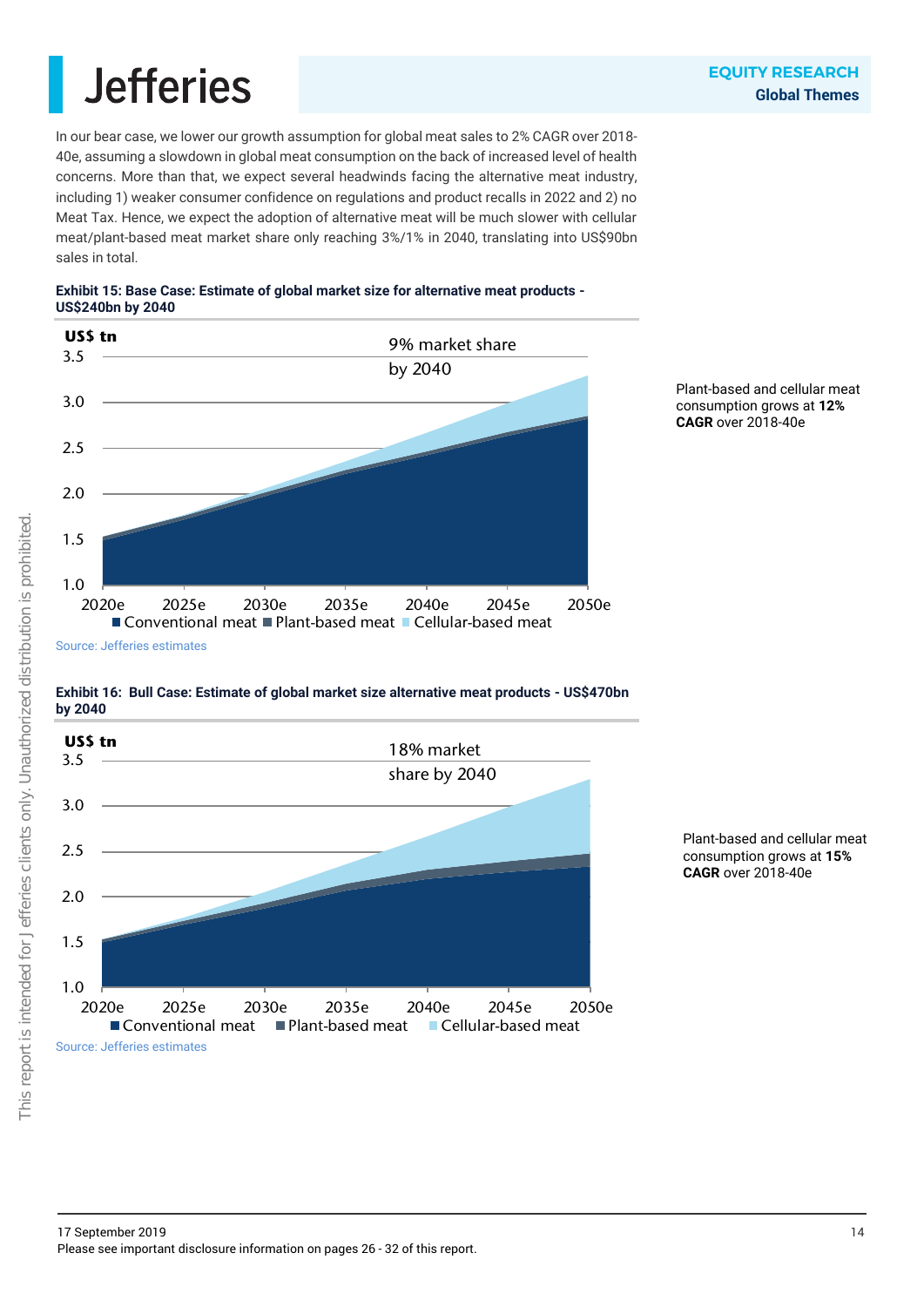In our bear case, we lower our growth assumption for global meat sales to 2% CAGR over 2018- 40e, assuming a slowdown in global meat consumption on the back of increased level of health concerns. More than that, we expect several headwinds facing the alternative meat industry, including 1) weaker consumer confidence on regulations and product recalls in 2022 and 2) no Meat Tax. Hence, we expect the adoption of alternative meat will be much slower with cellular meat/plant-based meat market share only reaching 3%/1% in 2040, translating into US\$90bn sales in total.





Plant-based and cellular meat consumption grows at **12% CAGR** over 2018-40e

**Exhibit 16: Bull Case: Estimate of global market size alternative meat products - US\$470bn by 2040**



Plant-based and cellular meat consumption grows at **15% CAGR** over 2018-40e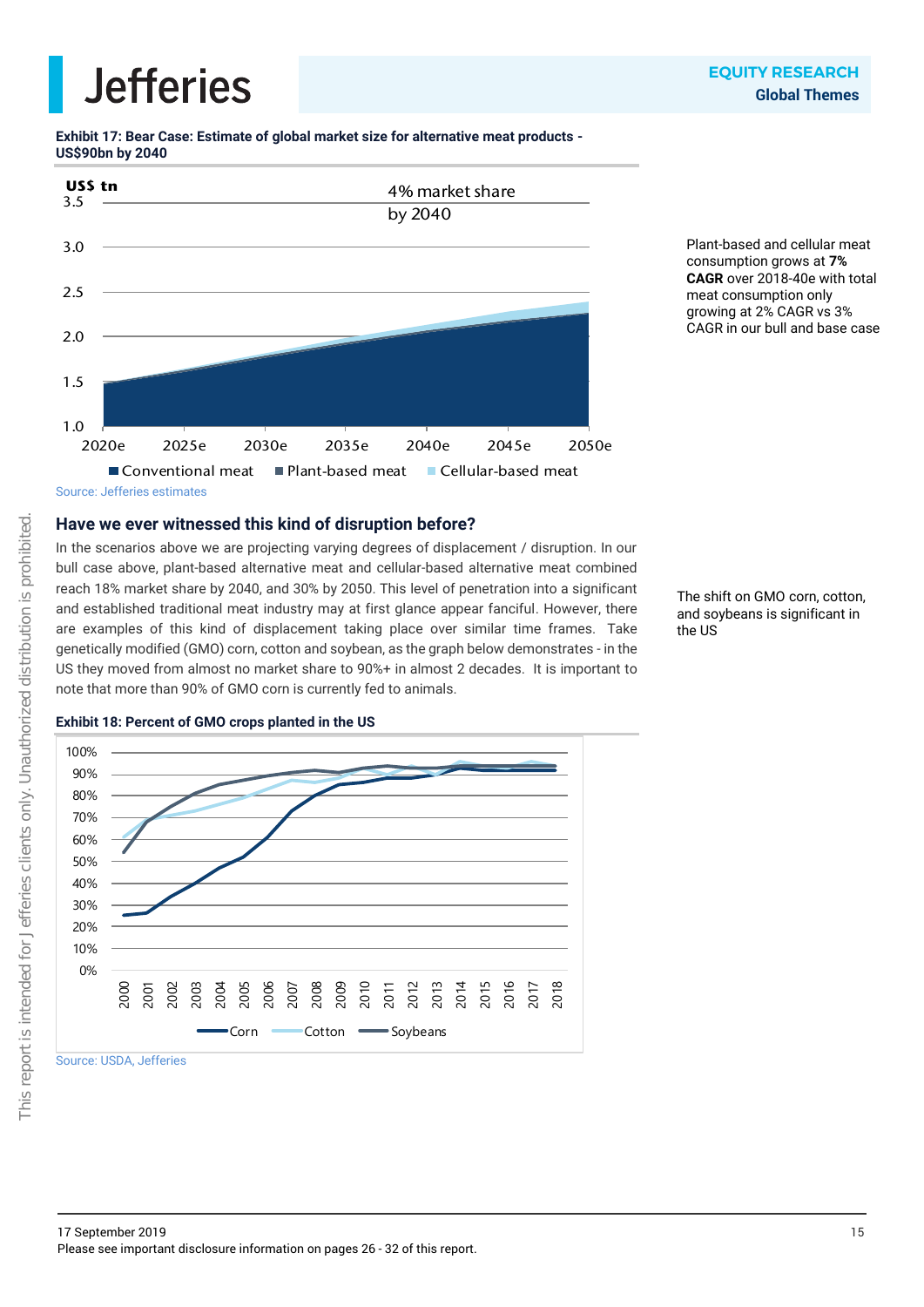**Exhibit 17: Bear Case: Estimate of global market size for alternative meat products - US\$90bn by 2040**



Plant-based and cellular meat consumption grows at **7% CAGR** over 2018-40e with total meat consumption only growing at 2% CAGR vs 3% CAGR in our bull and base case

Source: Jefferies estimates

### **Have we ever witnessed this kind of disruption before?**

In the scenarios above we are projecting varying degrees of displacement / disruption. In our bull case above, plant-based alternative meat and cellular-based alternative meat combined reach 18% market share by 2040, and 30% by 2050. This level of penetration into a significant and established traditional meat industry may at first glance appear fanciful. However, there are examples of this kind of displacement taking place over similar time frames. Take genetically modified (GMO) corn, cotton and soybean, as the graph below demonstrates - in the US they moved from almost no market share to 90%+ in almost 2 decades. It is important to note that more than 90% of GMO corn is currently fed to animals.

The shift on GMO corn, cotton, and soybeans is significant in the US





Source: USDA, Jefferies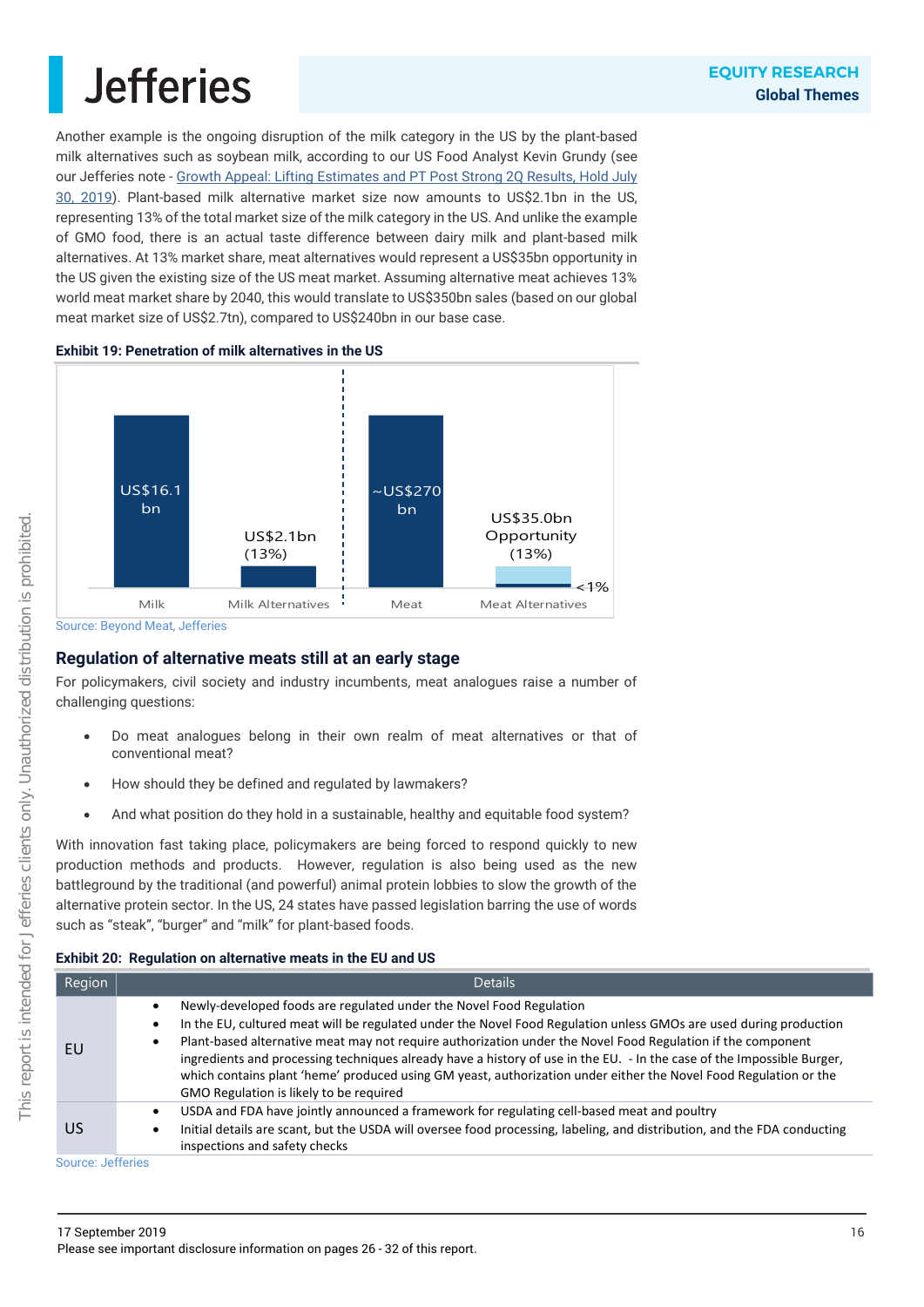Another example is the ongoing disruption of the milk category in the US by the plant-based milk alternatives such as soybean milk, according to our US Food Analyst Kevin Grundy (see our Jefferies note - Growth Appeal: Lifting [Estimates and PT Post Strong 2Q Results, Hold July](https://javatar.bluematrix.com/pdf/Ti5R85ro)  [30, 2019\)](https://javatar.bluematrix.com/pdf/Ti5R85ro). Plant-based milk alternative market size now amounts to US\$2.1bn in the US, representing 13% of the total market size of the milk category in the US. And unlike the example of GMO food, there is an actual taste difference between dairy milk and plant-based milk alternatives. At 13% market share, meat alternatives would represent a US\$35bn opportunity in the US given the existing size of the US meat market. Assuming alternative meat achieves 13% world meat market share by 2040, this would translate to US\$350bn sales (based on our global meat market size of US\$2.7tn), compared to US\$240bn in our base case.





Source: Beyond Meat, Jefferies

### **Regulation of alternative meats still at an early stage**

For policymakers, civil society and industry incumbents, meat analogues raise a number of challenging questions:

- Do meat analogues belong in their own realm of meat alternatives or that of conventional meat?
- How should they be defined and regulated by lawmakers?
- And what position do they hold in a sustainable, healthy and equitable food system?

With innovation fast taking place, policymakers are being forced to respond quickly to new production methods and products. However, regulation is also being used as the new battleground by the traditional (and powerful) animal protein lobbies to slow the growth of the alternative protein sector. In the US, 24 states have passed legislation barring the use of words such as "steak", "burger" and "milk" for plant-based foods.

### **Exhibit 20: Regulation on alternative meats in the EU and US**

| Region    | <b>Details</b>                                                                                                                                                                                                                                                                                                                                                                                                                                                                                                                                                                                                                          |
|-----------|-----------------------------------------------------------------------------------------------------------------------------------------------------------------------------------------------------------------------------------------------------------------------------------------------------------------------------------------------------------------------------------------------------------------------------------------------------------------------------------------------------------------------------------------------------------------------------------------------------------------------------------------|
| EU        | Newly-developed foods are regulated under the Novel Food Regulation<br>$\bullet$<br>In the EU, cultured meat will be regulated under the Novel Food Regulation unless GMOs are used during production<br>$\bullet$<br>Plant-based alternative meat may not require authorization under the Novel Food Regulation if the component<br>$\bullet$<br>ingredients and processing techniques already have a history of use in the EU. - In the case of the Impossible Burger,<br>which contains plant 'heme' produced using GM yeast, authorization under either the Novel Food Regulation or the<br>GMO Regulation is likely to be required |
| <b>US</b> | USDA and FDA have jointly announced a framework for regulating cell-based meat and poultry<br>$\bullet$<br>Initial details are scant, but the USDA will oversee food processing, labeling, and distribution, and the FDA conducting<br>inspections and safety checks                                                                                                                                                                                                                                                                                                                                                                    |

Source: Jefferies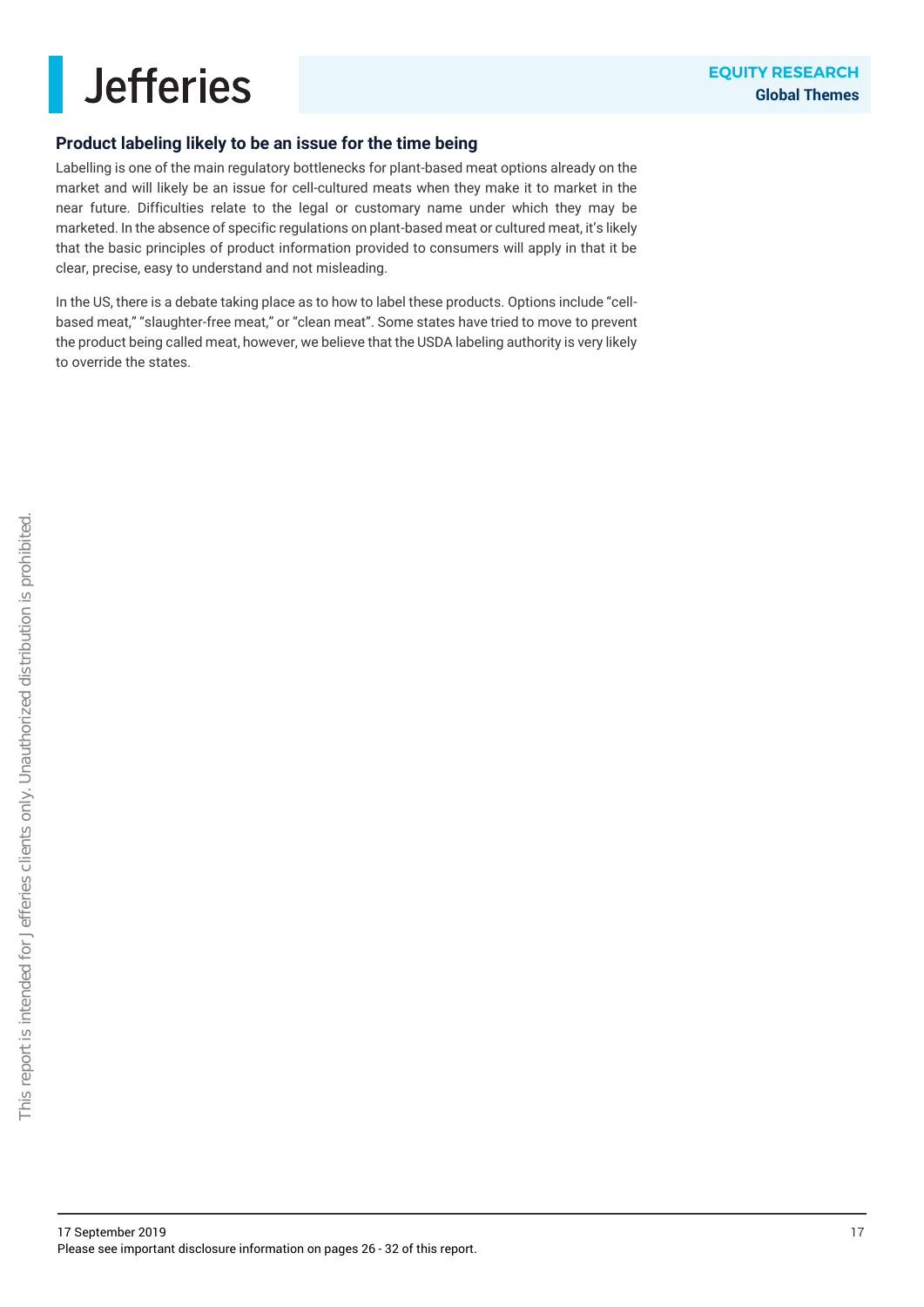

### **Product labeling likely to be an issue for the time being**

Labelling is one of the main regulatory bottlenecks for plant-based meat options already on the market and will likely be an issue for cell-cultured meats when they make it to market in the near future. Difficulties relate to the legal or customary name under which they may be marketed. In the absence of specific regulations on plant-based meat or cultured meat, it's likely that the basic principles of product information provided to consumers will apply in that it be clear, precise, easy to understand and not misleading.

In the US, there is a debate taking place as to how to label these products. Options include "cellbased meat," "slaughter-free meat," or "clean meat". Some states have tried to move to prevent the product being called meat, however, we believe that the USDA labeling authority is very likely to override the states.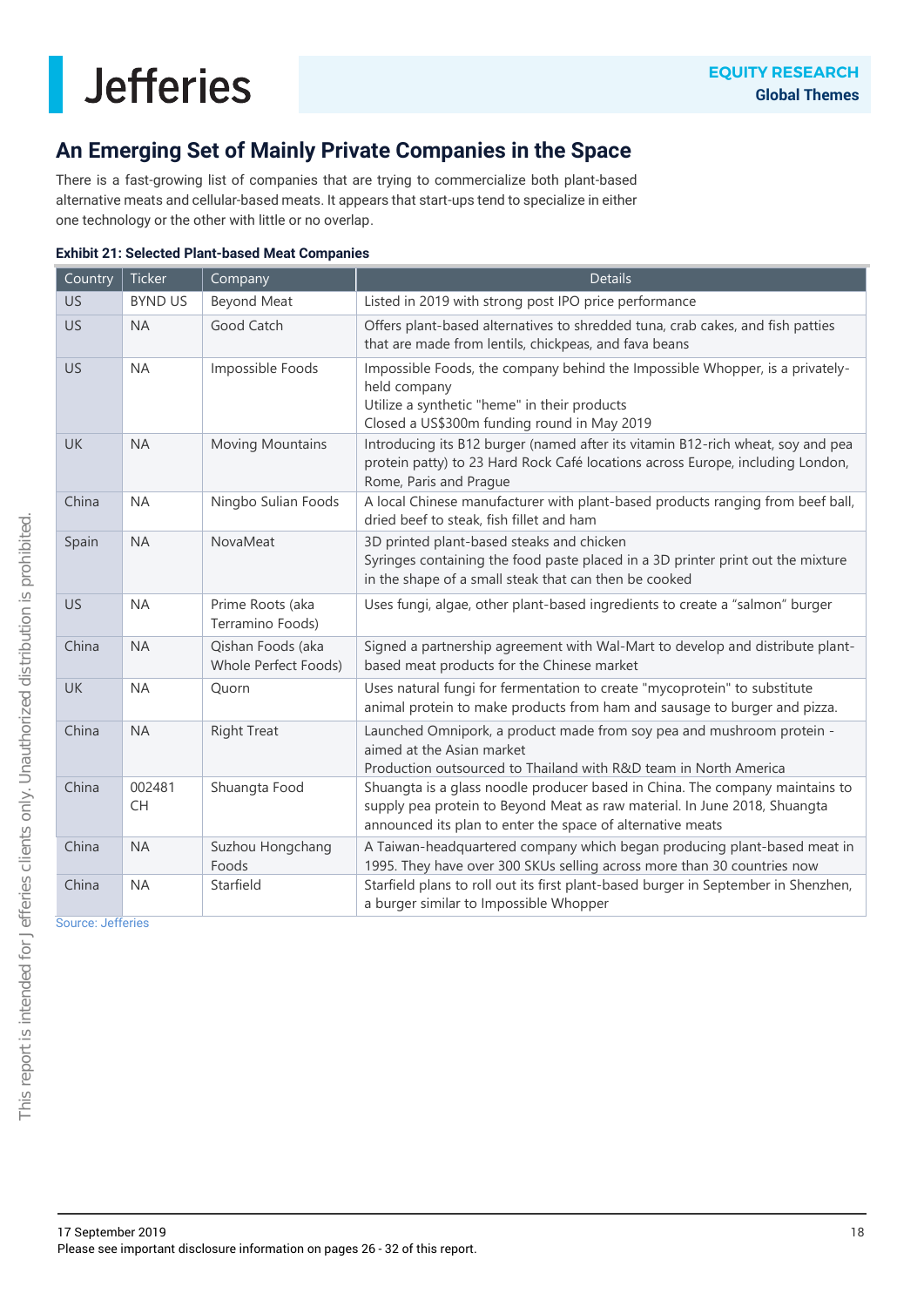### **An Emerging Set of Mainly Private Companies in the Space**

There is a fast-growing list of companies that are trying to commercialize both plant-based alternative meats and cellular-based meats. It appears that start-ups tend to specialize in either one technology or the other with little or no overlap.

|  | <b>Exhibit 21: Selected Plant-based Meat Companies</b> |  |
|--|--------------------------------------------------------|--|
|  |                                                        |  |

| Country   | Ticker              | Company                                   | <b>Details</b>                                                                                                                                                                                                          |
|-----------|---------------------|-------------------------------------------|-------------------------------------------------------------------------------------------------------------------------------------------------------------------------------------------------------------------------|
| US.       | <b>BYND US</b>      | <b>Beyond Meat</b>                        | Listed in 2019 with strong post IPO price performance                                                                                                                                                                   |
| <b>US</b> | <b>NA</b>           | Good Catch                                | Offers plant-based alternatives to shredded tuna, crab cakes, and fish patties<br>that are made from lentils, chickpeas, and fava beans                                                                                 |
| US.       | <b>NA</b>           | Impossible Foods                          | Impossible Foods, the company behind the Impossible Whopper, is a privately-<br>held company<br>Utilize a synthetic "heme" in their products<br>Closed a US\$300m funding round in May 2019                             |
| UK        | <b>NA</b>           | <b>Moving Mountains</b>                   | Introducing its B12 burger (named after its vitamin B12-rich wheat, soy and pea<br>protein patty) to 23 Hard Rock Café locations across Europe, including London,<br>Rome, Paris and Prague                             |
| China     | <b>NA</b>           | Ningbo Sulian Foods                       | A local Chinese manufacturer with plant-based products ranging from beef ball,<br>dried beef to steak, fish fillet and ham                                                                                              |
| Spain     | <b>NA</b>           | NovaMeat                                  | 3D printed plant-based steaks and chicken<br>Syringes containing the food paste placed in a 3D printer print out the mixture<br>in the shape of a small steak that can then be cooked                                   |
| <b>US</b> | <b>NA</b>           | Prime Roots (aka<br>Terramino Foods)      | Uses fungi, algae, other plant-based ingredients to create a "salmon" burger                                                                                                                                            |
| China     | <b>NA</b>           | Qishan Foods (aka<br>Whole Perfect Foods) | Signed a partnership agreement with Wal-Mart to develop and distribute plant-<br>based meat products for the Chinese market                                                                                             |
| UK        | <b>NA</b>           | Quorn                                     | Uses natural fungi for fermentation to create "mycoprotein" to substitute<br>animal protein to make products from ham and sausage to burger and pizza.                                                                  |
| China     | <b>NA</b>           | <b>Right Treat</b>                        | Launched Omnipork, a product made from soy pea and mushroom protein -<br>aimed at the Asian market<br>Production outsourced to Thailand with R&D team in North America                                                  |
| China     | 002481<br><b>CH</b> | Shuangta Food                             | Shuangta is a glass noodle producer based in China. The company maintains to<br>supply pea protein to Beyond Meat as raw material. In June 2018, Shuangta<br>announced its plan to enter the space of alternative meats |
| China     | <b>NA</b>           | Suzhou Hongchang<br>Foods                 | A Taiwan-headquartered company which began producing plant-based meat in<br>1995. They have over 300 SKUs selling across more than 30 countries now                                                                     |
| China     | <b>NA</b>           | Starfield                                 | Starfield plans to roll out its first plant-based burger in September in Shenzhen,<br>a burger similar to Impossible Whopper                                                                                            |

Source: Jefferies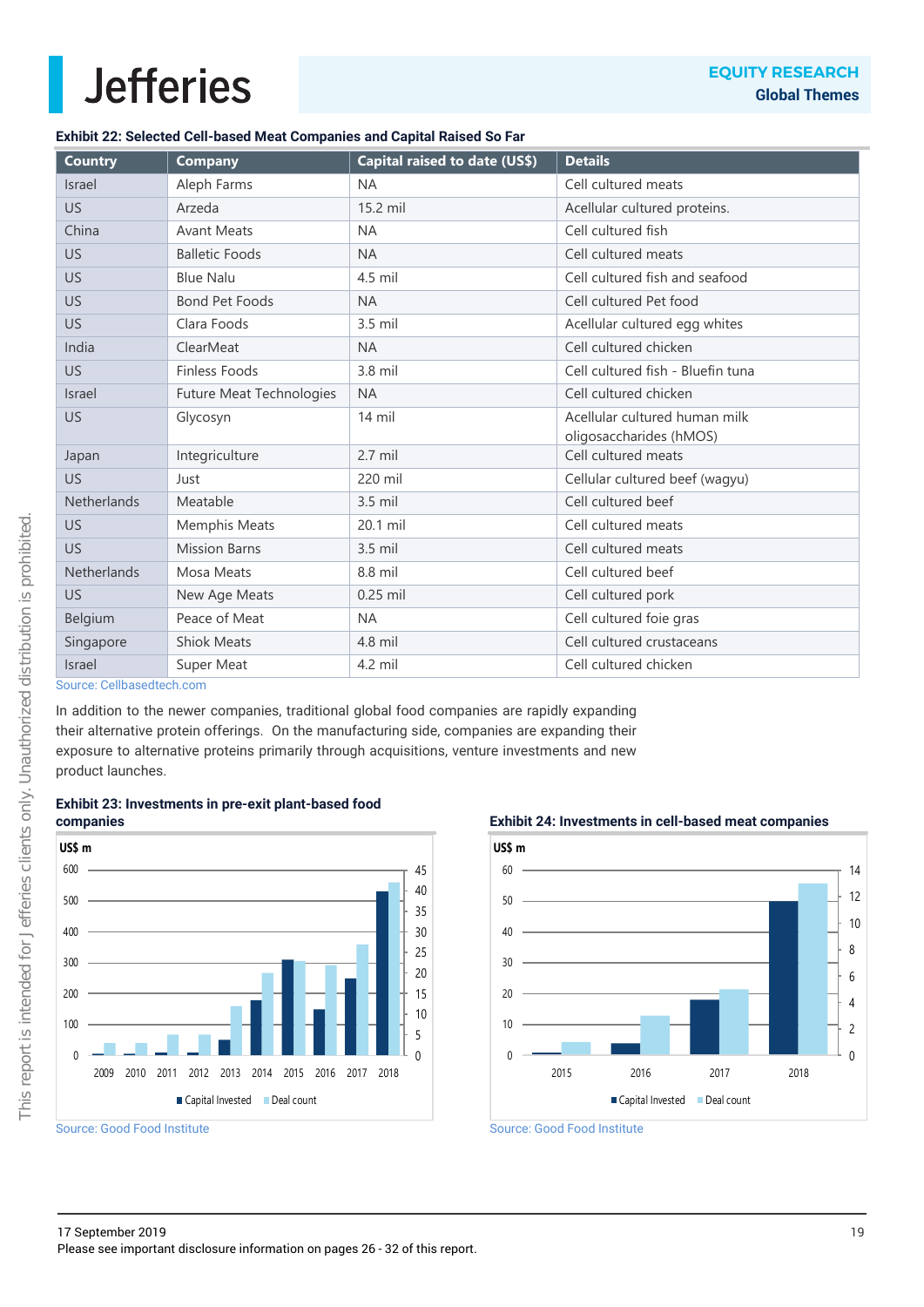### **Exhibit 22: Selected Cell-based Meat Companies and Capital Raised So Far**

| <b>Country</b>     | <b>Company</b>                  | Capital raised to date (US\$) | <b>Details</b>                    |
|--------------------|---------------------------------|-------------------------------|-----------------------------------|
| <b>Israel</b>      | Aleph Farms                     | <b>NA</b>                     | Cell cultured meats               |
| US.                | Arzeda                          | 15.2 mil                      | Acellular cultured proteins.      |
| China              | <b>Avant Meats</b>              | <b>NA</b>                     | Cell cultured fish                |
| US                 | <b>Balletic Foods</b>           | <b>NA</b>                     | Cell cultured meats               |
| US                 | <b>Blue Nalu</b>                | 4.5 mil                       | Cell cultured fish and seafood    |
| <b>US</b>          | <b>Bond Pet Foods</b>           | <b>NA</b>                     | Cell cultured Pet food            |
| <b>US</b>          | Clara Foods                     | 3.5 mil                       | Acellular cultured egg whites     |
| India              | ClearMeat                       | <b>NA</b>                     | Cell cultured chicken             |
| <b>US</b>          | <b>Finless Foods</b>            | 3.8 mil                       | Cell cultured fish - Bluefin tuna |
| <b>Israel</b>      | <b>Future Meat Technologies</b> | <b>NA</b>                     | Cell cultured chicken             |
| <b>US</b>          | Glycosyn                        | $14$ mil                      | Acellular cultured human milk     |
|                    |                                 |                               | oligosaccharides (hMOS)           |
| Japan              | Integriculture                  | $2.7$ mil                     | Cell cultured meats               |
| <b>US</b>          | Just                            | 220 mil                       | Cellular cultured beef (wagyu)    |
| Netherlands        | Meatable                        | 3.5 mil                       | Cell cultured beef                |
| US                 | Memphis Meats                   | 20.1 mil                      | Cell cultured meats               |
| <b>US</b>          | <b>Mission Barns</b>            | $3.5$ mil                     | Cell cultured meats               |
| <b>Netherlands</b> | Mosa Meats                      | 8.8 mil                       | Cell cultured beef                |
| <b>US</b>          | New Age Meats                   | 0.25 mil                      | Cell cultured pork                |
| Belgium            | Peace of Meat                   | <b>NA</b>                     | Cell cultured foie gras           |
| Singapore          | <b>Shiok Meats</b>              | 4.8 mil                       | Cell cultured crustaceans         |
| <b>Israel</b>      | Super Meat                      | 4.2 mil                       | Cell cultured chicken             |

Source: Cellbasedtech.com

In addition to the newer companies, traditional global food companies are rapidly expanding their alternative protein offerings. On the manufacturing side, companies are expanding their exposure to alternative proteins primarily through acquisitions, venture investments and new product launches.



**Exhibit 23: Investments in pre-exit plant-based food companies**



**Exhibit 24: Investments in cell-based meat companies**



Source: Good Food Institute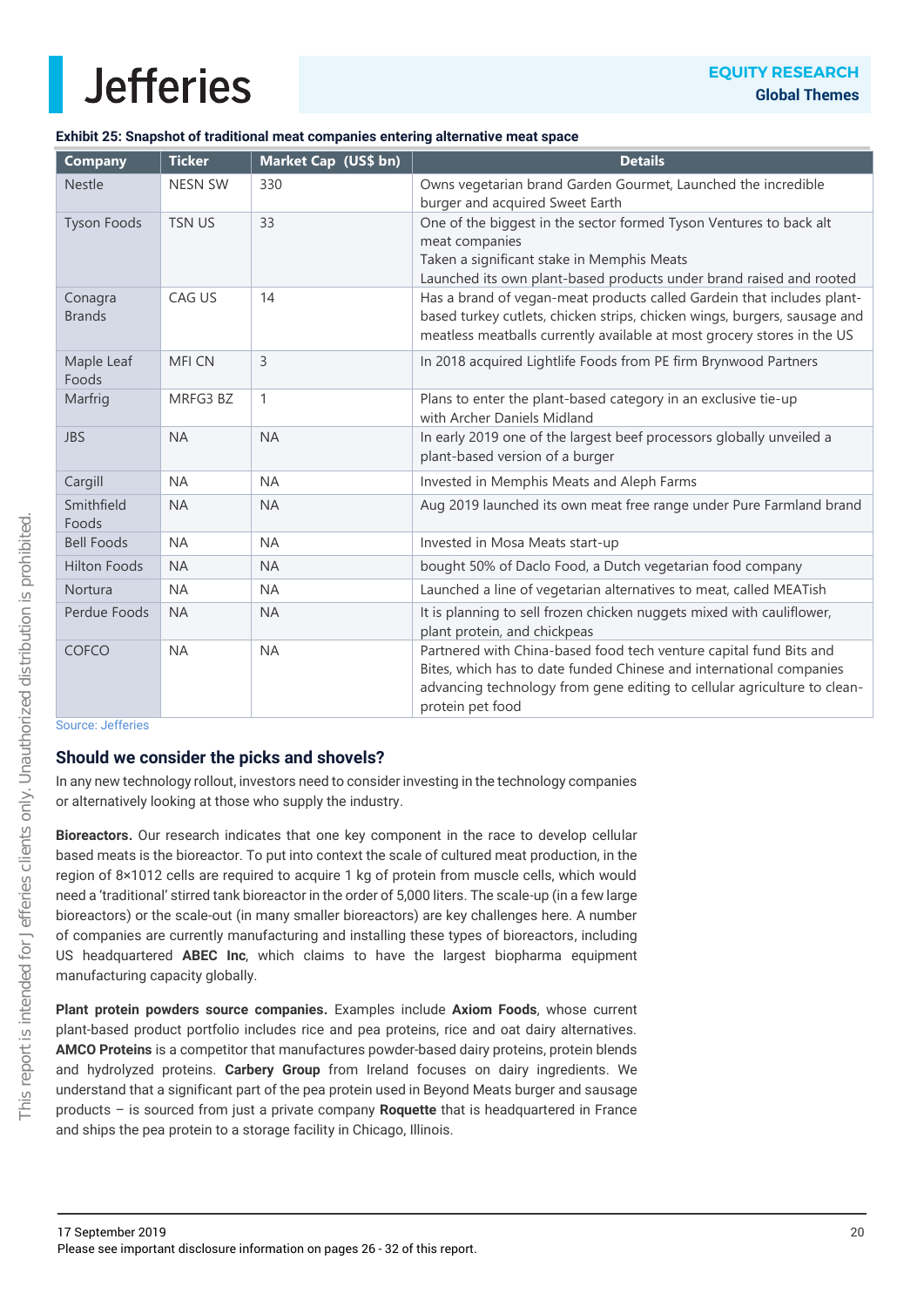### **Exhibit 25: Snapshot of traditional meat companies entering alternative meat space**

| <b>Company</b>           | <b>Ticker</b>  | Market Cap (US\$ bn) | <b>Details</b>                                                                                                                                                                                                                            |
|--------------------------|----------------|----------------------|-------------------------------------------------------------------------------------------------------------------------------------------------------------------------------------------------------------------------------------------|
| <b>Nestle</b>            | <b>NESN SW</b> | 330                  | Owns vegetarian brand Garden Gourmet, Launched the incredible<br>burger and acquired Sweet Earth                                                                                                                                          |
| <b>Tyson Foods</b>       | <b>TSN US</b>  | 33                   | One of the biggest in the sector formed Tyson Ventures to back alt<br>meat companies<br>Taken a significant stake in Memphis Meats<br>Launched its own plant-based products under brand raised and rooted                                 |
| Conagra<br><b>Brands</b> | CAG US         | 14                   | Has a brand of vegan-meat products called Gardein that includes plant-<br>based turkey cutlets, chicken strips, chicken wings, burgers, sausage and<br>meatless meatballs currently available at most grocery stores in the US            |
| Maple Leaf<br>Foods      | <b>MFI CN</b>  | $\overline{3}$       | In 2018 acquired Lightlife Foods from PE firm Brynwood Partners                                                                                                                                                                           |
| Marfrig                  | MRFG3 BZ       | $\mathbf{1}$         | Plans to enter the plant-based category in an exclusive tie-up<br>with Archer Daniels Midland                                                                                                                                             |
| <b>JBS</b>               | <b>NA</b>      | <b>NA</b>            | In early 2019 one of the largest beef processors globally unveiled a<br>plant-based version of a burger                                                                                                                                   |
| Cargill                  | <b>NA</b>      | <b>NA</b>            | Invested in Memphis Meats and Aleph Farms                                                                                                                                                                                                 |
| Smithfield<br>Foods      | <b>NA</b>      | <b>NA</b>            | Aug 2019 launched its own meat free range under Pure Farmland brand                                                                                                                                                                       |
| <b>Bell Foods</b>        | <b>NA</b>      | <b>NA</b>            | Invested in Mosa Meats start-up                                                                                                                                                                                                           |
| <b>Hilton Foods</b>      | <b>NA</b>      | <b>NA</b>            | bought 50% of Daclo Food, a Dutch vegetarian food company                                                                                                                                                                                 |
| Nortura                  | <b>NA</b>      | <b>NA</b>            | Launched a line of vegetarian alternatives to meat, called MEATish                                                                                                                                                                        |
| Perdue Foods             | <b>NA</b>      | <b>NA</b>            | It is planning to sell frozen chicken nuggets mixed with cauliflower,<br>plant protein, and chickpeas                                                                                                                                     |
| <b>COFCO</b>             | <b>NA</b>      | <b>NA</b>            | Partnered with China-based food tech venture capital fund Bits and<br>Bites, which has to date funded Chinese and international companies<br>advancing technology from gene editing to cellular agriculture to clean-<br>protein pet food |

Source: Jefferies

### **Should we consider the picks and shovels?**

In any new technology rollout, investors need to consider investing in the technology companies or alternatively looking at those who supply the industry.

**Bioreactors.** Our research indicates that one key component in the race to develop cellular based meats is the bioreactor. To put into context the scale of cultured meat production, in the region of 8×1012 cells are required to acquire 1 kg of protein from muscle cells, which would need a 'traditional' stirred tank bioreactor in the order of 5,000 liters. The scale-up (in a few large bioreactors) or the scale-out (in many smaller bioreactors) are key challenges here. A number of companies are currently manufacturing and installing these types of bioreactors, including US headquartered **ABEC Inc**, which claims to have the largest biopharma equipment manufacturing capacity globally.

**Plant protein powders source companies.** Examples include **Axiom Foods**, whose current plant-based product portfolio includes rice and pea proteins, rice and oat dairy alternatives. **AMCO Proteins** is a competitor that manufactures powder-based dairy proteins, protein blends and hydrolyzed proteins. **Carbery Group** from Ireland focuses on dairy ingredients. We understand that a significant part of the pea protein used in Beyond Meats burger and sausage products – is sourced from just a private company **Roquette** that is headquartered in France and ships the pea protein to a storage facility in Chicago, Illinois.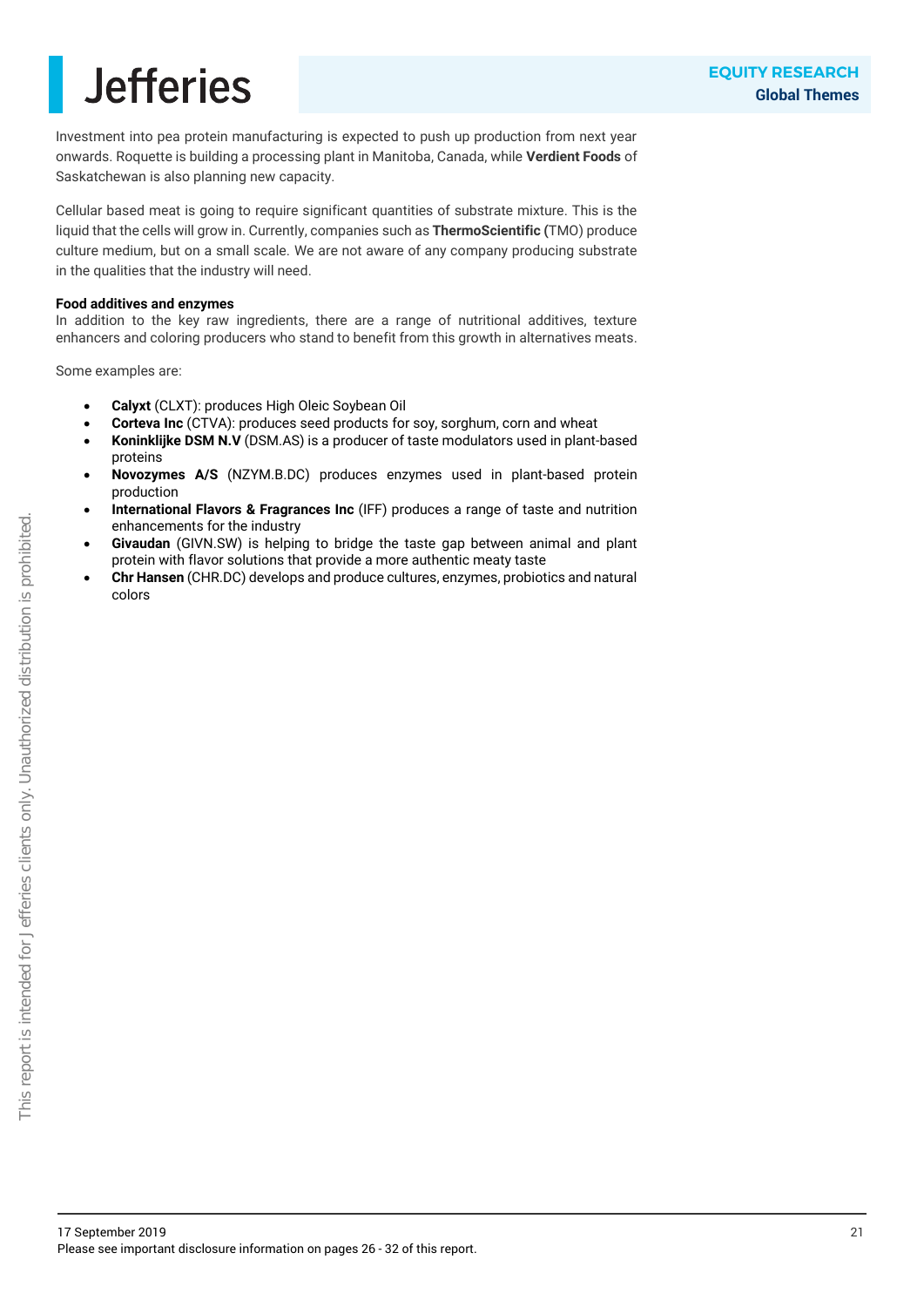Investment into pea protein manufacturing is expected to push up production from next year onwards. Roquette is building a processing plant in Manitoba, Canada, while **Verdient Foods** of Saskatchewan is also planning new capacity.

Cellular based meat is going to require significant quantities of substrate mixture. This is the liquid that the cells will grow in. Currently, companies such as **ThermoScientific (**TMO) produce culture medium, but on a small scale. We are not aware of any company producing substrate in the qualities that the industry will need.

#### **Food additives and enzymes**

In addition to the key raw ingredients, there are a range of nutritional additives, texture enhancers and coloring producers who stand to benefit from this growth in alternatives meats.

Some examples are:

- **Calyxt** (CLXT): produces High Oleic Soybean Oil
- **Corteva Inc** (CTVA): produces seed products for soy, sorghum, corn and wheat
- **Koninklijke DSM N.V** (DSM.AS) is a producer of taste modulators used in plant-based proteins
- **Novozymes A/S** (NZYM.B.DC) produces enzymes used in plant-based protein production
- **International Flavors & Fragrances Inc** (IFF) produces a range of taste and nutrition enhancements for the industry
- **Givaudan** (GIVN.SW) is helping to bridge the taste gap between animal and plant protein with flavor solutions that provide a more authentic meaty taste
- **Chr Hansen** (CHR.DC) develops and produce cultures, enzymes, probiotics and natural colors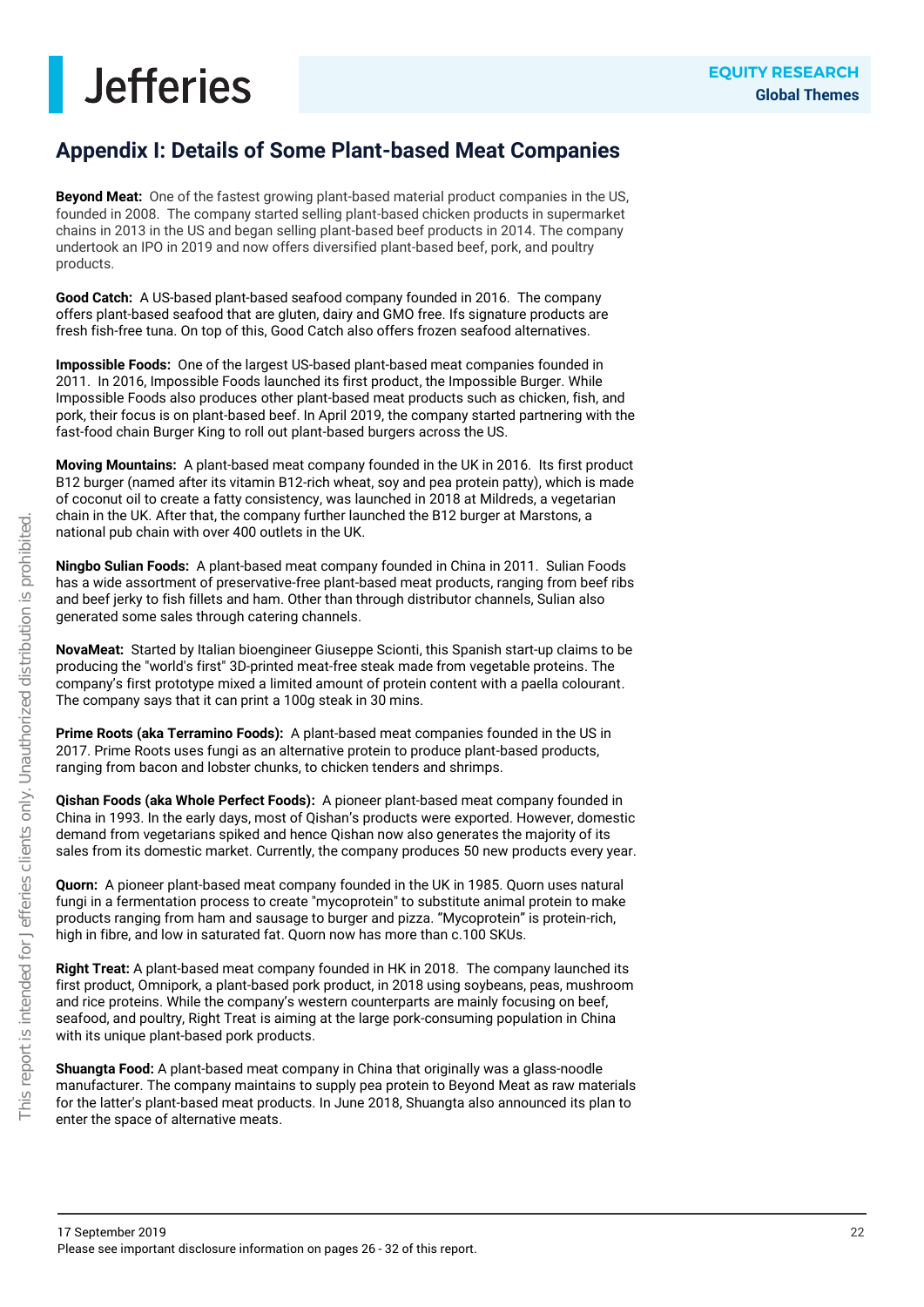### **Appendix I: Details of Some Plant-based Meat Companies**

**Beyond Meat:** One of the fastest growing plant-based material product companies in the US, founded in 2008. The company started selling plant-based chicken products in supermarket chains in 2013 in the US and began selling plant-based beef products in 2014. The company undertook an IPO in 2019 and now offers diversified plant-based beef, pork, and poultry products.

**Good Catch:** A US-based plant-based seafood company founded in 2016. The company offers plant-based seafood that are gluten, dairy and GMO free. Ifs signature products are fresh fish-free tuna. On top of this, Good Catch also offers frozen seafood alternatives.

**Impossible Foods:** One of the largest US-based plant-based meat companies founded in 2011. In 2016, Impossible Foods launched its first product, the Impossible Burger. While Impossible Foods also produces other plant-based meat products such as chicken, fish, and pork, their focus is on plant-based beef. In April 2019, the company started partnering with the fast-food chain Burger King to roll out plant-based burgers across the US.

**Moving Mountains:** A plant-based meat company founded in the UK in 2016. Its first product B12 burger (named after its vitamin B12-rich wheat, soy and pea protein patty), which is made of coconut oil to create a fatty consistency, was launched in 2018 at Mildreds, a vegetarian chain in the UK. After that, the company further launched the B12 burger at Marstons, a national pub chain with over 400 outlets in the UK.

**Ningbo Sulian Foods:** A plant-based meat company founded in China in 2011. Sulian Foods has a wide assortment of preservative-free plant-based meat products, ranging from beef ribs and beef jerky to fish fillets and ham. Other than through distributor channels, Sulian also generated some sales through catering channels.

**NovaMeat:** Started by Italian bioengineer Giuseppe Scionti, this Spanish start-up claims to be producing the "world's first" 3D-printed meat-free steak made from vegetable proteins. The company's first prototype mixed a limited amount of protein content with a paella colourant. The company says that it can print a 100g steak in 30 mins.

**Prime Roots (aka Terramino Foods):** A plant-based meat companies founded in the US in 2017. Prime Roots uses fungi as an alternative protein to produce plant-based products, ranging from bacon and lobster chunks, to chicken tenders and shrimps.

**Qishan Foods (aka Whole Perfect Foods):** A pioneer plant-based meat company founded in China in 1993. In the early days, most of Qishan's products were exported. However, domestic demand from vegetarians spiked and hence Qishan now also generates the majority of its sales from its domestic market. Currently, the company produces 50 new products every year.

**Quorn:** A pioneer plant-based meat company founded in the UK in 1985. Quorn uses natural fungi in a fermentation process to create "mycoprotein" to substitute animal protein to make products ranging from ham and sausage to burger and pizza. "Mycoprotein" is protein-rich, high in fibre, and low in saturated fat. Quorn now has more than c.100 SKUs.

**Right Treat:** A plant-based meat company founded in HK in 2018. The company launched its first product, Omnipork, a plant-based pork product, in 2018 using soybeans, peas, mushroom and rice proteins. While the company's western counterparts are mainly focusing on beef, seafood, and poultry, Right Treat is aiming at the large pork-consuming population in China with its unique plant-based pork products.

**Shuangta Food:** A plant-based meat company in China that originally was a glass-noodle manufacturer. The company maintains to supply pea protein to Beyond Meat as raw materials for the latter's plant-based meat products. In June 2018, Shuangta also announced its plan to enter the space of alternative meats.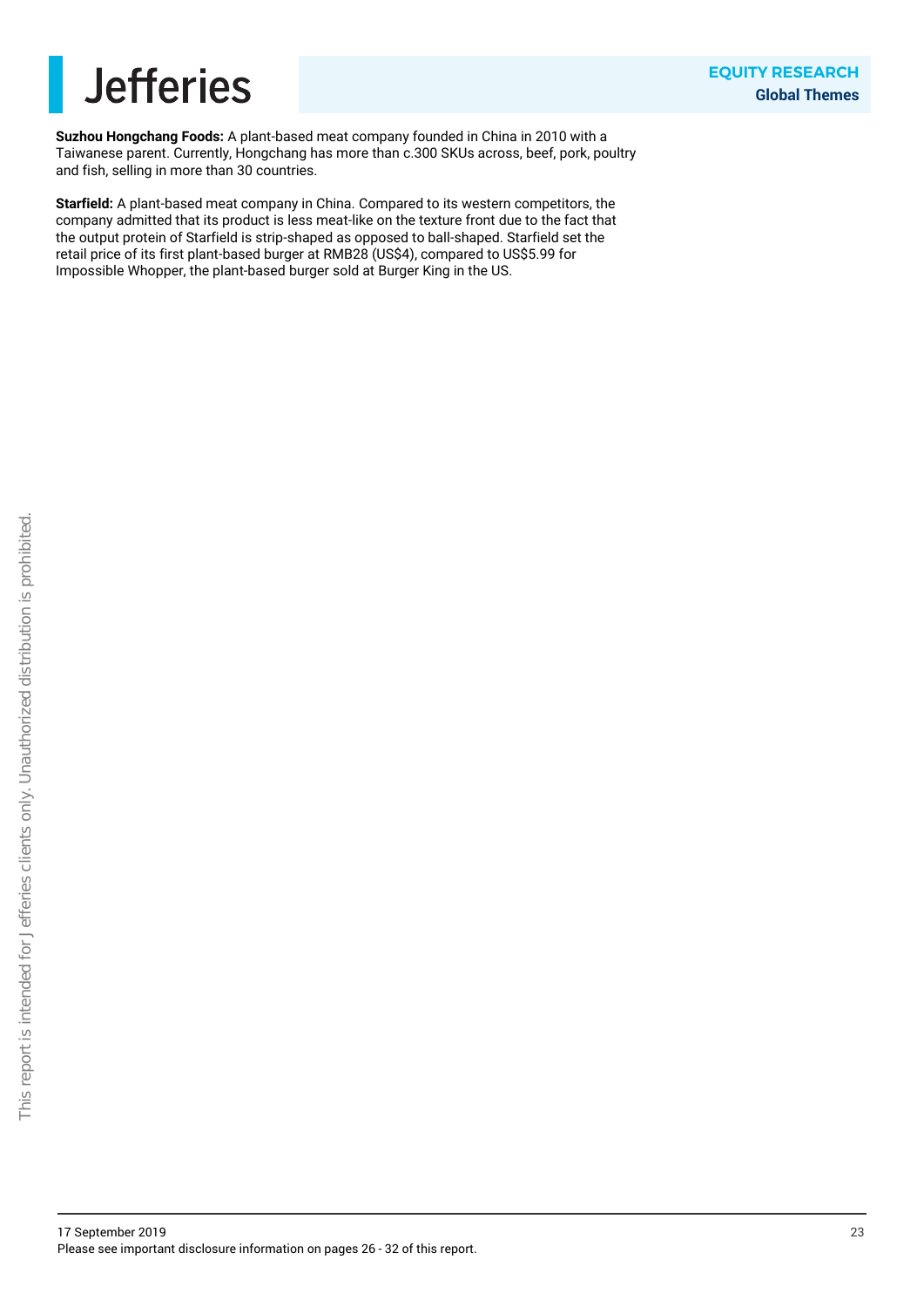

**Suzhou Hongchang Foods:** A plant-based meat company founded in China in 2010 with a Taiwanese parent. Currently, Hongchang has more than c.300 SKUs across, beef, pork, poultry and fish, selling in more than 30 countries.

**Starfield:** A plant-based meat company in China. Compared to its western competitors, the company admitted that its product is less meat-like on the texture front due to the fact that the output protein of Starfield is strip-shaped as opposed to ball-shaped. Starfield set the retail price of its first plant-based burger at RMB28 (US\$4), compared to US\$5.99 for Impossible Whopper, the plant-based burger sold at Burger King in the US.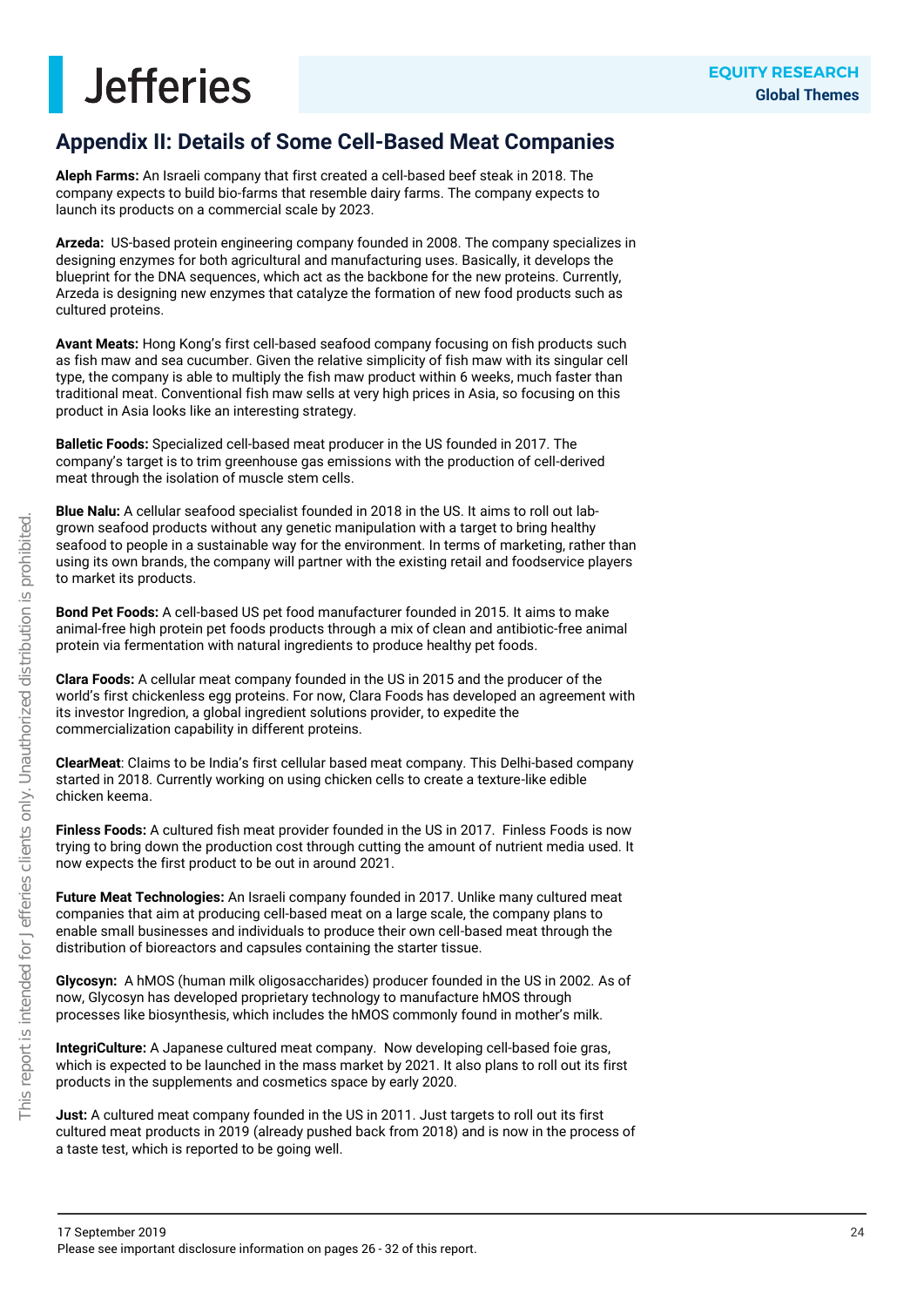### **Appendix II: Details of Some Cell-Based Meat Companies**

**Aleph Farms:** An Israeli company that first created a cell-based beef steak in 2018. The company expects to build bio-farms that resemble dairy farms. The company expects to launch its products on a commercial scale by 2023.

**Arzeda:** US-based protein engineering company founded in 2008. The company specializes in designing enzymes for both agricultural and manufacturing uses. Basically, it develops the blueprint for the DNA sequences, which act as the backbone for the new proteins. Currently, Arzeda is designing new enzymes that catalyze the formation of new food products such as cultured proteins.

**Avant Meats:** Hong Kong's first cell-based seafood company focusing on fish products such as fish maw and sea cucumber. Given the relative simplicity of fish maw with its singular cell type, the company is able to multiply the fish maw product within 6 weeks, much faster than traditional meat. Conventional fish maw sells at very high prices in Asia, so focusing on this product in Asia looks like an interesting strategy.

**Balletic Foods:** Specialized cell-based meat producer in the US founded in 2017. The company's target is to trim greenhouse gas emissions with the production of cell-derived meat through the isolation of muscle stem cells.

**Blue Nalu:** A cellular seafood specialist founded in 2018 in the US. It aims to roll out labgrown seafood products without any genetic manipulation with a target to bring healthy seafood to people in a sustainable way for the environment. In terms of marketing, rather than using its own brands, the company will partner with the existing retail and foodservice players to market its products.

**Bond Pet Foods:** A cell-based US pet food manufacturer founded in 2015. It aims to make animal-free high protein pet foods products through a mix of clean and antibiotic-free animal protein via fermentation with natural ingredients to produce healthy pet foods.

**Clara Foods:** A cellular meat company founded in the US in 2015 and the producer of the world's first chickenless egg proteins. For now, Clara Foods has developed an agreement with its investor Ingredion, a global ingredient solutions provider, to expedite the commercialization capability in different proteins.

**ClearMeat**: Claims to be India's first cellular based meat company. This Delhi-based company started in 2018. Currently working on using chicken cells to create a texture-like edible chicken keema.

**Finless Foods:** A cultured fish meat provider founded in the US in 2017. Finless Foods is now trying to bring down the production cost through cutting the amount of nutrient media used. It now expects the first product to be out in around 2021.

**Future Meat Technologies:** An Israeli company founded in 2017. Unlike many cultured meat companies that aim at producing cell-based meat on a large scale, the company plans to enable small businesses and individuals to produce their own cell-based meat through the distribution of bioreactors and capsules containing the starter tissue.

**Glycosyn:** A hMOS (human milk oligosaccharides) producer founded in the US in 2002. As of now, Glycosyn has developed proprietary technology to manufacture hMOS through processes like biosynthesis, which includes the hMOS commonly found in mother's milk.

**IntegriCulture:** A Japanese cultured meat company. Now developing cell-based foie gras, which is expected to be launched in the mass market by 2021. It also plans to roll out its first products in the supplements and cosmetics space by early 2020.

**Just:** A cultured meat company founded in the US in 2011. Just targets to roll out its first cultured meat products in 2019 (already pushed back from 2018) and is now in the process of a taste test, which is reported to be going well.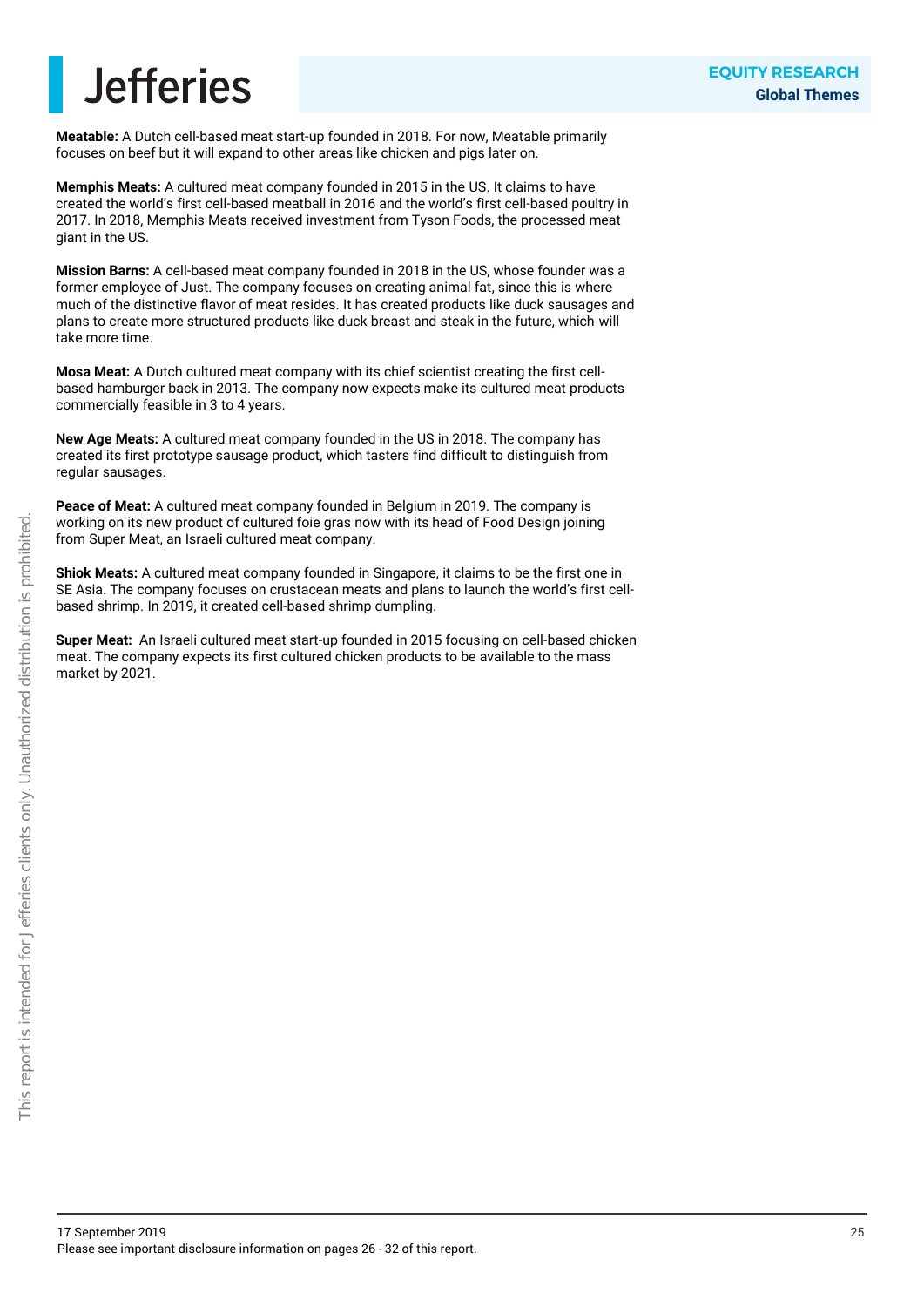**Meatable:** A Dutch cell-based meat start-up founded in 2018. For now, Meatable primarily focuses on beef but it will expand to other areas like chicken and pigs later on.

**Memphis Meats:** A cultured meat company founded in 2015 in the US. It claims to have created the world's first cell-based meatball in 2016 and the world's first cell-based poultry in 2017. In 2018, Memphis Meats received investment from Tyson Foods, the processed meat giant in the US.

**Mission Barns:** A cell-based meat company founded in 2018 in the US, whose founder was a former employee of Just. The company focuses on creating animal fat, since this is where much of the distinctive flavor of meat resides. It has created products like duck sausages and plans to create more structured products like duck breast and steak in the future, which will take more time.

**Mosa Meat:** A Dutch cultured meat company with its chief scientist creating the first cellbased hamburger back in 2013. The company now expects make its cultured meat products commercially feasible in 3 to 4 years.

**New Age Meats:** A cultured meat company founded in the US in 2018. The company has created its first prototype sausage product, which tasters find difficult to distinguish from regular sausages.

**Peace of Meat:** A cultured meat company founded in Belgium in 2019. The company is working on its new product of cultured foie gras now with its head of Food Design joining from Super Meat, an Israeli cultured meat company.

**Shiok Meats:** A cultured meat company founded in Singapore, it claims to be the first one in SE Asia. The company focuses on crustacean meats and plans to launch the world's first cellbased shrimp. In 2019, it created cell-based shrimp dumpling.

**Super Meat:** An Israeli cultured meat start-up founded in 2015 focusing on cell-based chicken meat. The company expects its first cultured chicken products to be available to the mass market by 2021.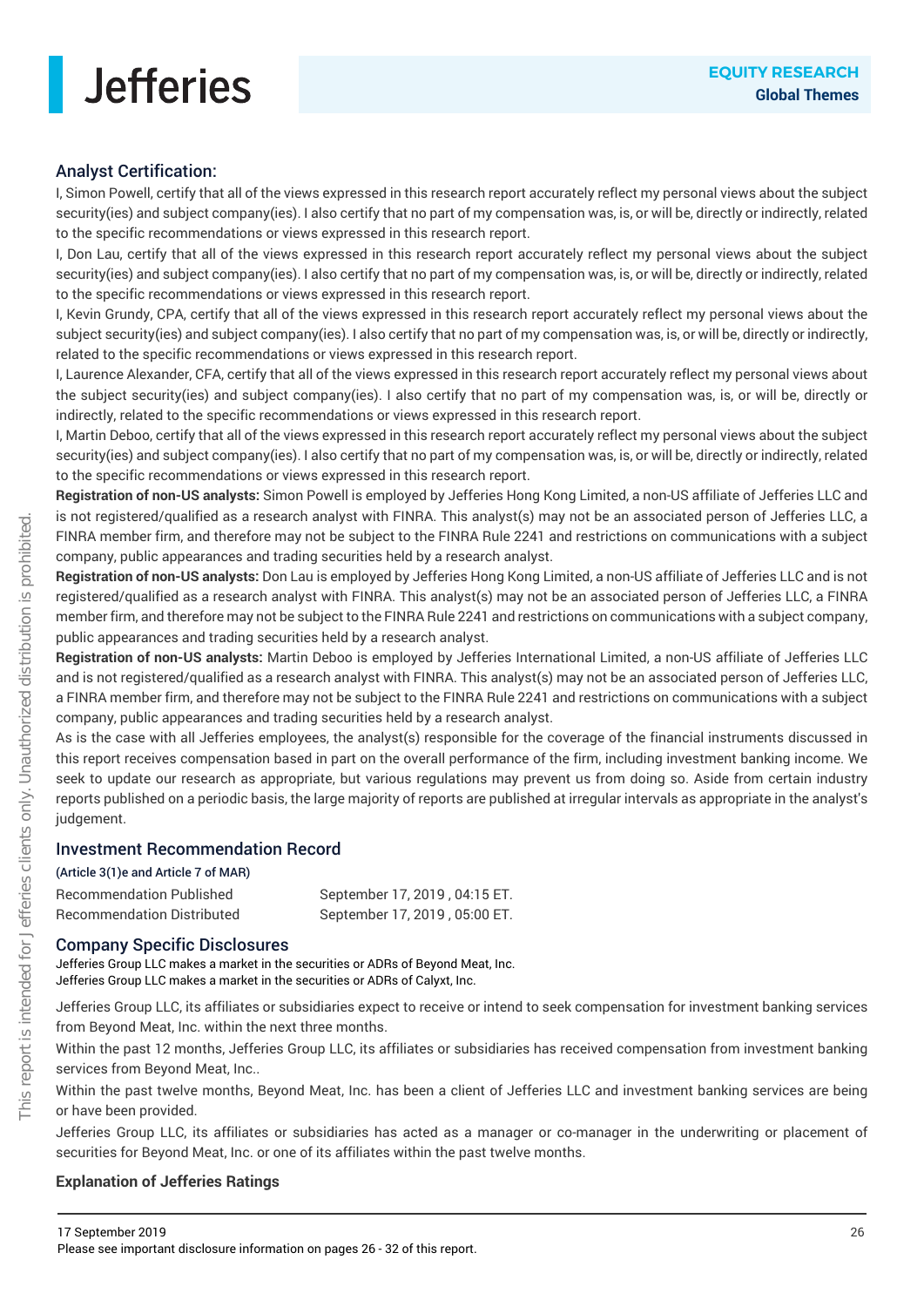### Analyst Certification:

I, Simon Powell, certify that all of the views expressed in this research report accurately reflect my personal views about the subject security(ies) and subject company(ies). I also certify that no part of my compensation was, is, or will be, directly or indirectly, related to the specific recommendations or views expressed in this research report.

I, Don Lau, certify that all of the views expressed in this research report accurately reflect my personal views about the subject security(ies) and subject company(ies). I also certify that no part of my compensation was, is, or will be, directly or indirectly, related to the specific recommendations or views expressed in this research report.

I, Kevin Grundy, CPA, certify that all of the views expressed in this research report accurately reflect my personal views about the subject security(ies) and subject company(ies). I also certify that no part of my compensation was, is, or will be, directly or indirectly, related to the specific recommendations or views expressed in this research report.

I, Laurence Alexander, CFA, certify that all of the views expressed in this research report accurately reflect my personal views about the subject security(ies) and subject company(ies). I also certify that no part of my compensation was, is, or will be, directly or indirectly, related to the specific recommendations or views expressed in this research report.

I, Martin Deboo, certify that all of the views expressed in this research report accurately reflect my personal views about the subject security(ies) and subject company(ies). I also certify that no part of my compensation was, is, or will be, directly or indirectly, related to the specific recommendations or views expressed in this research report.

**Registration of non-US analysts:** Simon Powell is employed by Jefferies Hong Kong Limited, a non-US affiliate of Jefferies LLC and is not registered/qualified as a research analyst with FINRA. This analyst(s) may not be an associated person of Jefferies LLC, a FINRA member firm, and therefore may not be subject to the FINRA Rule 2241 and restrictions on communications with a subject company, public appearances and trading securities held by a research analyst.

**Registration of non-US analysts:** Don Lau is employed by Jefferies Hong Kong Limited, a non-US affiliate of Jefferies LLC and is not registered/qualified as a research analyst with FINRA. This analyst(s) may not be an associated person of Jefferies LLC, a FINRA member firm, and therefore may not be subject to the FINRA Rule 2241 and restrictions on communications with a subject company, public appearances and trading securities held by a research analyst.

**Registration of non-US analysts:** Martin Deboo is employed by Jefferies International Limited, a non-US affiliate of Jefferies LLC and is not registered/qualified as a research analyst with FINRA. This analyst(s) may not be an associated person of Jefferies LLC, a FINRA member firm, and therefore may not be subject to the FINRA Rule 2241 and restrictions on communications with a subject company, public appearances and trading securities held by a research analyst.

As is the case with all Jefferies employees, the analyst(s) responsible for the coverage of the financial instruments discussed in this report receives compensation based in part on the overall performance of the firm, including investment banking income. We seek to update our research as appropriate, but various regulations may prevent us from doing so. Aside from certain industry reports published on a periodic basis, the large majority of reports are published at irregular intervals as appropriate in the analyst's judgement.

### Investment Recommendation Record

(Article 3(1)e and Article 7 of MAR)

| Recommendation Published   | September 17, 2019, 04:15 ET. |
|----------------------------|-------------------------------|
| Recommendation Distributed | September 17, 2019, 05:00 ET. |

### Company Specific Disclosures

Jefferies Group LLC makes a market in the securities or ADRs of Beyond Meat, Inc. Jefferies Group LLC makes a market in the securities or ADRs of Calyxt, Inc.

Jefferies Group LLC, its affiliates or subsidiaries expect to receive or intend to seek compensation for investment banking services from Beyond Meat, Inc. within the next three months.

Within the past 12 months, Jefferies Group LLC, its affiliates or subsidiaries has received compensation from investment banking services from Beyond Meat, Inc..

Within the past twelve months, Beyond Meat, Inc. has been a client of Jefferies LLC and investment banking services are being or have been provided.

Jefferies Group LLC, its affiliates or subsidiaries has acted as a manager or co-manager in the underwriting or placement of securities for Beyond Meat, Inc. or one of its affiliates within the past twelve months.

### **Explanation of Jefferies Ratings**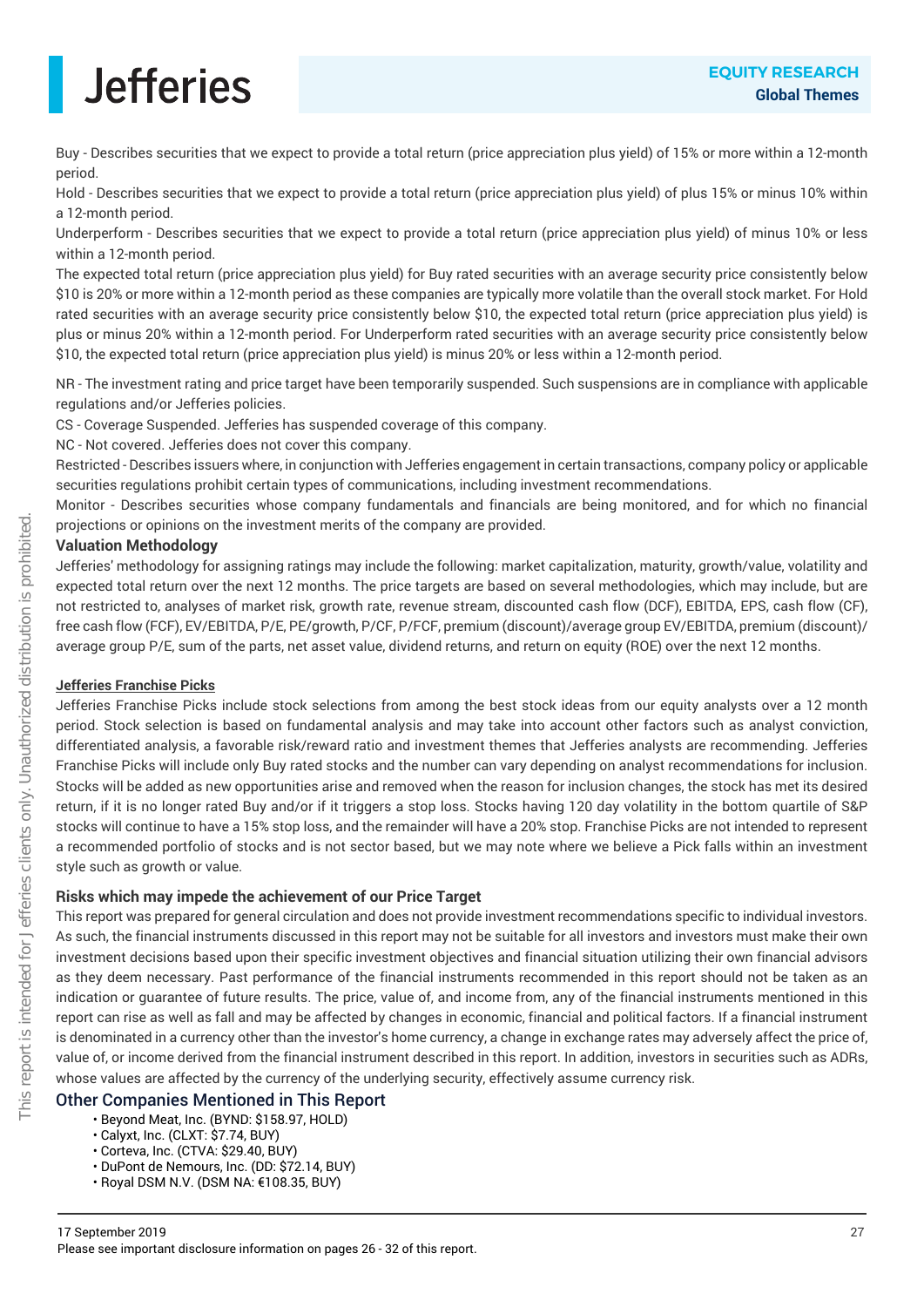Buy - Describes securities that we expect to provide a total return (price appreciation plus yield) of 15% or more within a 12-month period.

Hold - Describes securities that we expect to provide a total return (price appreciation plus yield) of plus 15% or minus 10% within a 12-month period.

Underperform - Describes securities that we expect to provide a total return (price appreciation plus yield) of minus 10% or less within a 12-month period.

The expected total return (price appreciation plus yield) for Buy rated securities with an average security price consistently below \$10 is 20% or more within a 12-month period as these companies are typically more volatile than the overall stock market. For Hold rated securities with an average security price consistently below \$10, the expected total return (price appreciation plus yield) is plus or minus 20% within a 12-month period. For Underperform rated securities with an average security price consistently below \$10, the expected total return (price appreciation plus yield) is minus 20% or less within a 12-month period.

NR - The investment rating and price target have been temporarily suspended. Such suspensions are in compliance with applicable regulations and/or Jefferies policies.

CS - Coverage Suspended. Jefferies has suspended coverage of this company.

NC - Not covered. Jefferies does not cover this company.

Restricted - Describes issuers where, in conjunction with Jefferies engagement in certain transactions, company policy or applicable securities regulations prohibit certain types of communications, including investment recommendations.

Monitor - Describes securities whose company fundamentals and financials are being monitored, and for which no financial projections or opinions on the investment merits of the company are provided.

#### **Valuation Methodology**

Jefferies' methodology for assigning ratings may include the following: market capitalization, maturity, growth/value, volatility and expected total return over the next 12 months. The price targets are based on several methodologies, which may include, but are not restricted to, analyses of market risk, growth rate, revenue stream, discounted cash flow (DCF), EBITDA, EPS, cash flow (CF), free cash flow (FCF), EV/EBITDA, P/E, PE/growth, P/CF, P/FCF, premium (discount)/average group EV/EBITDA, premium (discount)/ average group P/E, sum of the parts, net asset value, dividend returns, and return on equity (ROE) over the next 12 months.

### **Jefferies Franchise Picks**

Jefferies Franchise Picks include stock selections from among the best stock ideas from our equity analysts over a 12 month period. Stock selection is based on fundamental analysis and may take into account other factors such as analyst conviction, differentiated analysis, a favorable risk/reward ratio and investment themes that Jefferies analysts are recommending. Jefferies Franchise Picks will include only Buy rated stocks and the number can vary depending on analyst recommendations for inclusion. Stocks will be added as new opportunities arise and removed when the reason for inclusion changes, the stock has met its desired return, if it is no longer rated Buy and/or if it triggers a stop loss. Stocks having 120 day volatility in the bottom quartile of S&P stocks will continue to have a 15% stop loss, and the remainder will have a 20% stop. Franchise Picks are not intended to represent a recommended portfolio of stocks and is not sector based, but we may note where we believe a Pick falls within an investment style such as growth or value.

### **Risks which may impede the achievement of our Price Target**

This report was prepared for general circulation and does not provide investment recommendations specific to individual investors. As such, the financial instruments discussed in this report may not be suitable for all investors and investors must make their own investment decisions based upon their specific investment objectives and financial situation utilizing their own financial advisors as they deem necessary. Past performance of the financial instruments recommended in this report should not be taken as an indication or guarantee of future results. The price, value of, and income from, any of the financial instruments mentioned in this report can rise as well as fall and may be affected by changes in economic, financial and political factors. If a financial instrument is denominated in a currency other than the investor's home currency, a change in exchange rates may adversely affect the price of, value of, or income derived from the financial instrument described in this report. In addition, investors in securities such as ADRs, whose values are affected by the currency of the underlying security, effectively assume currency risk.

### Other Companies Mentioned in This Report

- Beyond Meat, Inc. (BYND: \$158.97, HOLD)
- Calyxt, Inc. (CLXT: \$7.74, BUY)
- Corteva, Inc. (CTVA: \$29.40, BUY)
- DuPont de Nemours, Inc. (DD: \$72.14, BUY)
- Royal DSM N.V. (DSM NA: €108.35, BUY)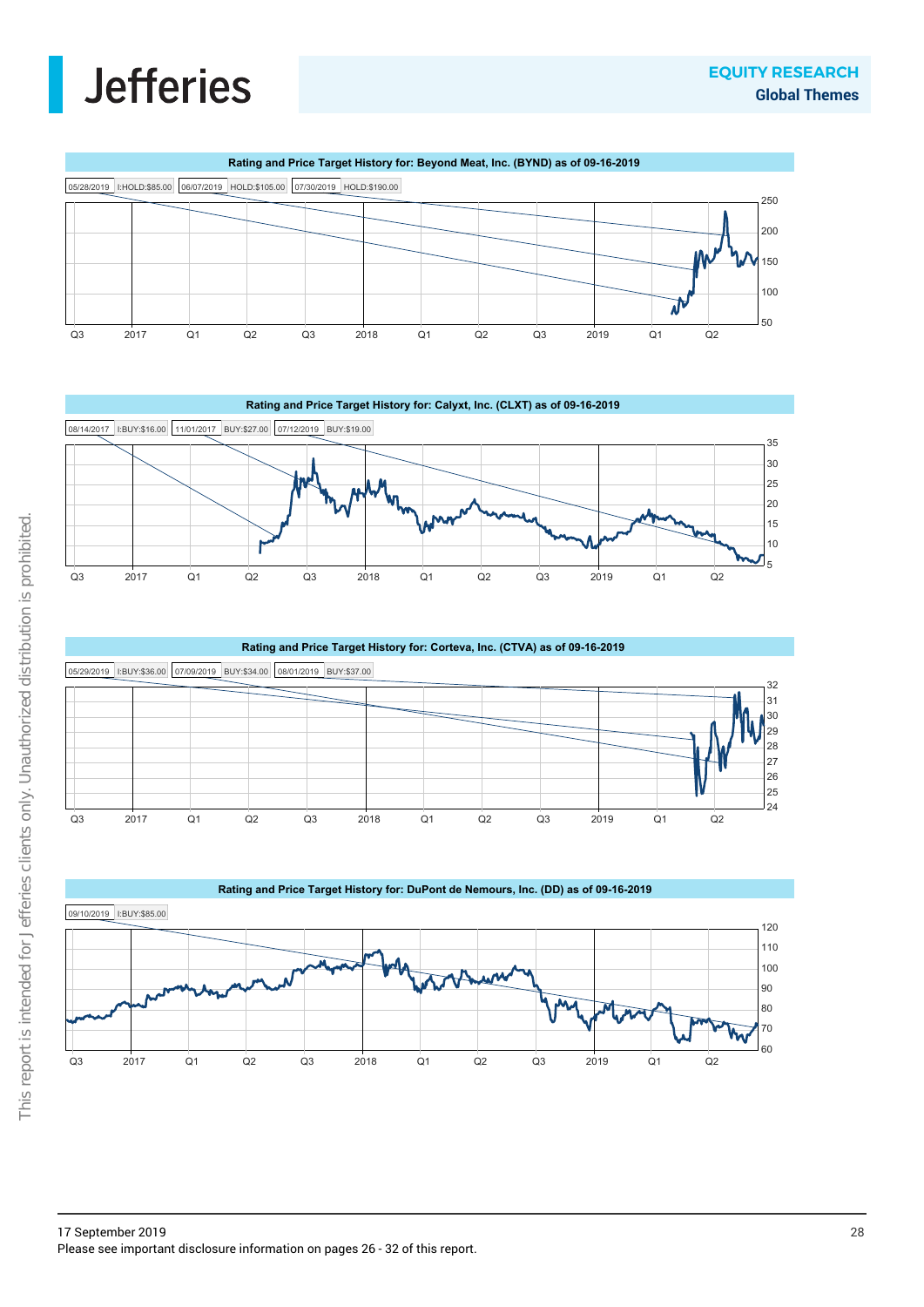





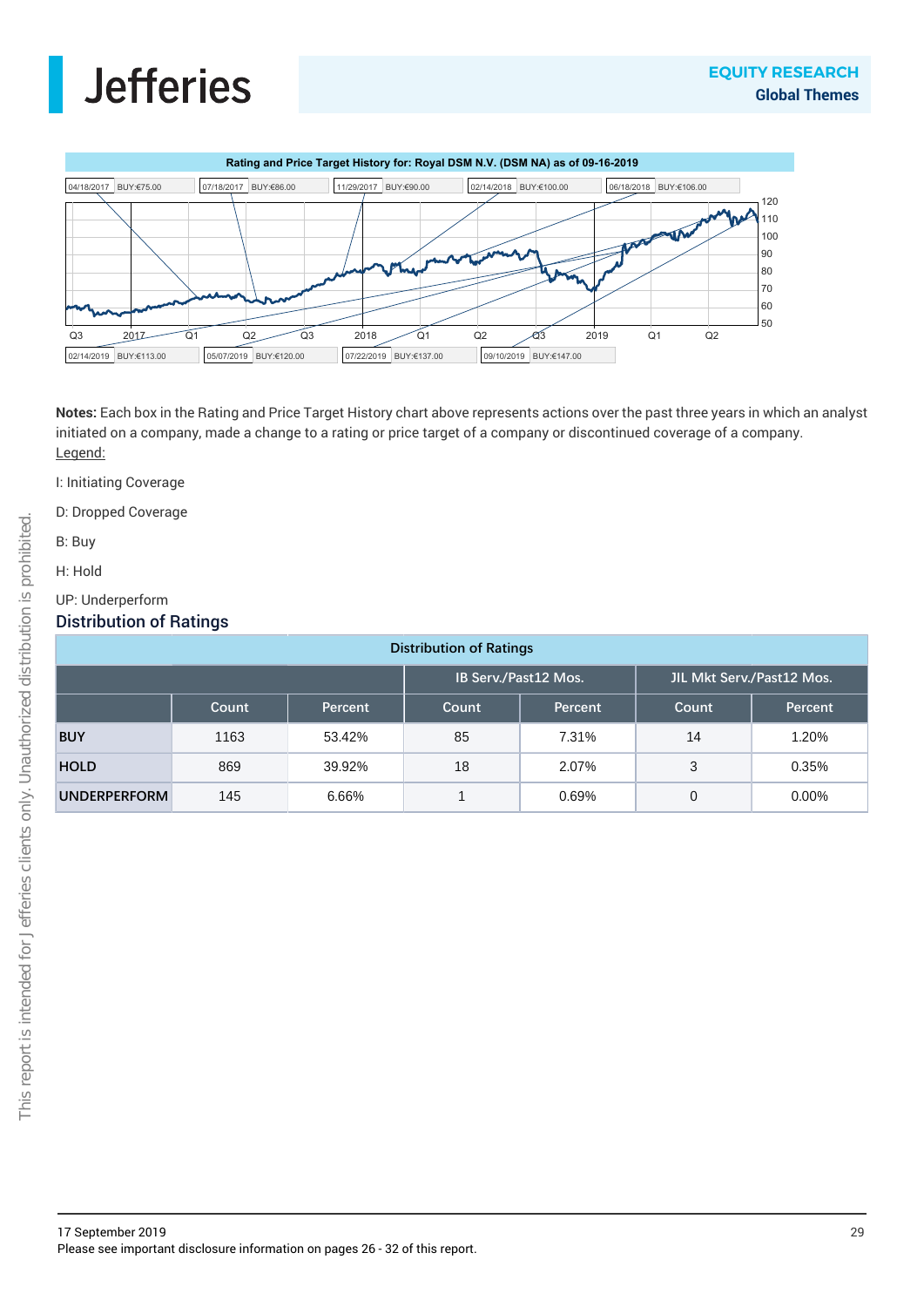



**Notes:** Each box in the Rating and Price Target History chart above represents actions over the past three years in which an analyst initiated on a company, made a change to a rating or price target of a company or discontinued coverage of a company. Legend:

- I: Initiating Coverage
- D: Dropped Coverage
- B: Buy
- H: Hold
- UP: Underperform

### Distribution of Ratings

| <b>Distribution of Ratings</b> |       |         |                      |         |                           |         |
|--------------------------------|-------|---------|----------------------|---------|---------------------------|---------|
|                                |       |         | IB Serv./Past12 Mos. |         | JIL Mkt Serv./Past12 Mos. |         |
|                                | Count | Percent | Count                | Percent | Count                     | Percent |
| <b>BUY</b>                     | 1163  | 53.42%  | 85                   | 7.31%   | 14                        | 1.20%   |
| <b>HOLD</b>                    | 869   | 39.92%  | 18                   | 2.07%   | 3                         | 0.35%   |
| <b>UNDERPERFORM</b>            | 145   | 6.66%   |                      | 0.69%   | 0                         | 0.00%   |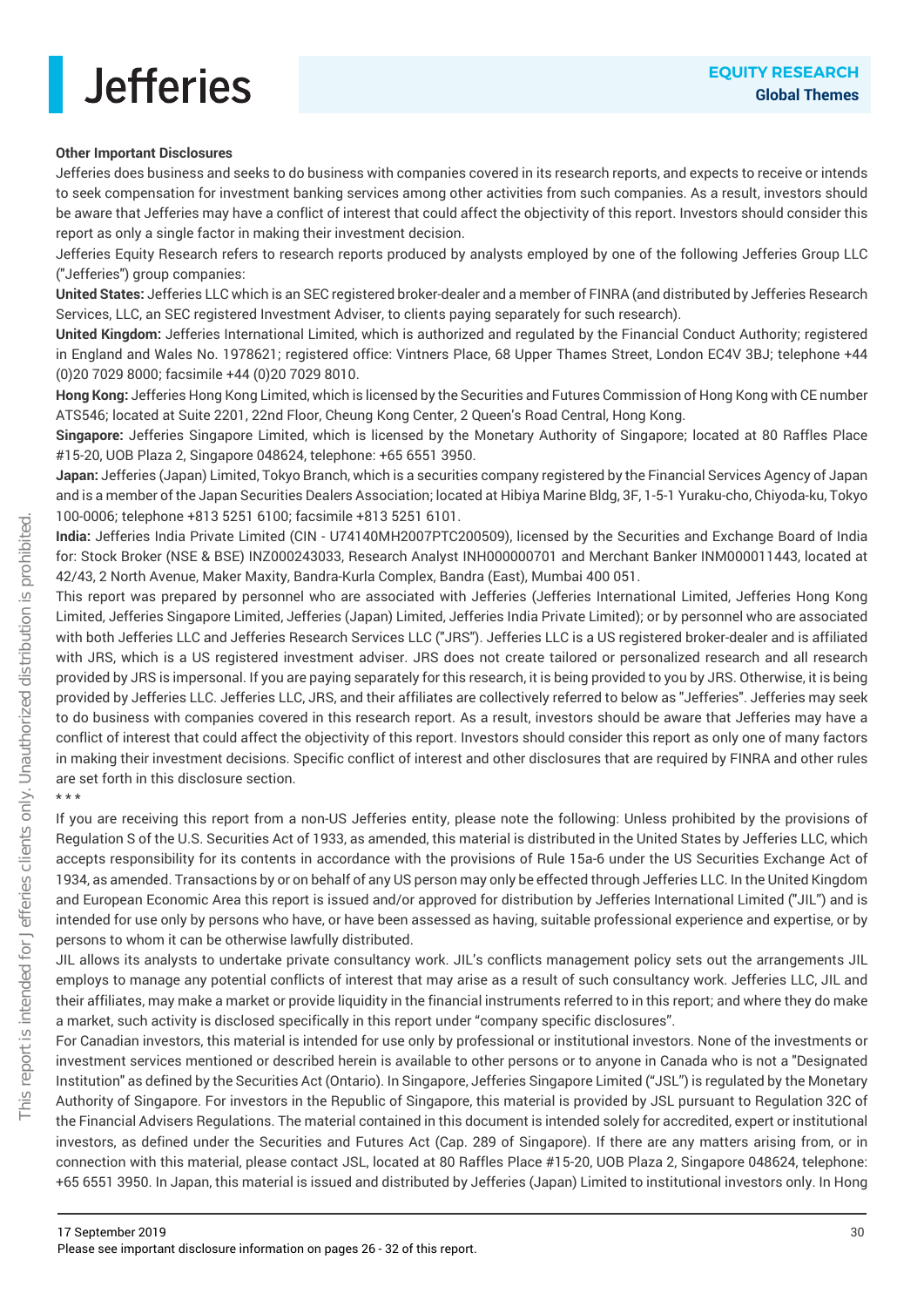### **Other Important Disclosures**

Jefferies does business and seeks to do business with companies covered in its research reports, and expects to receive or intends to seek compensation for investment banking services among other activities from such companies. As a result, investors should be aware that Jefferies may have a conflict of interest that could affect the objectivity of this report. Investors should consider this report as only a single factor in making their investment decision.

Jefferies Equity Research refers to research reports produced by analysts employed by one of the following Jefferies Group LLC ("Jefferies") group companies:

**United States:** Jefferies LLC which is an SEC registered broker-dealer and a member of FINRA (and distributed by Jefferies Research Services, LLC, an SEC registered Investment Adviser, to clients paying separately for such research).

**United Kingdom:** Jefferies International Limited, which is authorized and regulated by the Financial Conduct Authority; registered in England and Wales No. 1978621; registered office: Vintners Place, 68 Upper Thames Street, London EC4V 3BJ; telephone +44 (0)20 7029 8000; facsimile +44 (0)20 7029 8010.

**Hong Kong:** Jefferies Hong Kong Limited, which is licensed by the Securities and Futures Commission of Hong Kong with CE number ATS546; located at Suite 2201, 22nd Floor, Cheung Kong Center, 2 Queen's Road Central, Hong Kong.

**Singapore:** Jefferies Singapore Limited, which is licensed by the Monetary Authority of Singapore; located at 80 Raffles Place #15-20, UOB Plaza 2, Singapore 048624, telephone: +65 6551 3950.

**Japan:** Jefferies (Japan) Limited, Tokyo Branch, which is a securities company registered by the Financial Services Agency of Japan and is a member of the Japan Securities Dealers Association; located at Hibiya Marine Bldg, 3F, 1-5-1 Yuraku-cho, Chiyoda-ku, Tokyo 100-0006; telephone +813 5251 6100; facsimile +813 5251 6101.

**India:** Jefferies India Private Limited (CIN - U74140MH2007PTC200509), licensed by the Securities and Exchange Board of India for: Stock Broker (NSE & BSE) INZ000243033, Research Analyst INH000000701 and Merchant Banker INM000011443, located at 42/43, 2 North Avenue, Maker Maxity, Bandra-Kurla Complex, Bandra (East), Mumbai 400 051.

This report was prepared by personnel who are associated with Jefferies (Jefferies International Limited, Jefferies Hong Kong Limited, Jefferies Singapore Limited, Jefferies (Japan) Limited, Jefferies India Private Limited); or by personnel who are associated with both Jefferies LLC and Jefferies Research Services LLC ("JRS"). Jefferies LLC is a US registered broker-dealer and is affiliated with JRS, which is a US registered investment adviser. JRS does not create tailored or personalized research and all research provided by JRS is impersonal. If you are paying separately for this research, it is being provided to you by JRS. Otherwise, it is being provided by Jefferies LLC. Jefferies LLC, JRS, and their affiliates are collectively referred to below as "Jefferies". Jefferies may seek to do business with companies covered in this research report. As a result, investors should be aware that Jefferies may have a conflict of interest that could affect the objectivity of this report. Investors should consider this report as only one of many factors in making their investment decisions. Specific conflict of interest and other disclosures that are required by FINRA and other rules are set forth in this disclosure section.

\* \* \*

If you are receiving this report from a non-US Jefferies entity, please note the following: Unless prohibited by the provisions of Regulation S of the U.S. Securities Act of 1933, as amended, this material is distributed in the United States by Jefferies LLC, which accepts responsibility for its contents in accordance with the provisions of Rule 15a-6 under the US Securities Exchange Act of 1934, as amended. Transactions by or on behalf of any US person may only be effected through Jefferies LLC. In the United Kingdom and European Economic Area this report is issued and/or approved for distribution by Jefferies International Limited ("JIL") and is intended for use only by persons who have, or have been assessed as having, suitable professional experience and expertise, or by persons to whom it can be otherwise lawfully distributed.

JIL allows its analysts to undertake private consultancy work. JIL's conflicts management policy sets out the arrangements JIL employs to manage any potential conflicts of interest that may arise as a result of such consultancy work. Jefferies LLC, JIL and their affiliates, may make a market or provide liquidity in the financial instruments referred to in this report; and where they do make a market, such activity is disclosed specifically in this report under "company specific disclosures".

For Canadian investors, this material is intended for use only by professional or institutional investors. None of the investments or investment services mentioned or described herein is available to other persons or to anyone in Canada who is not a "Designated Institution" as defined by the Securities Act (Ontario). In Singapore, Jefferies Singapore Limited ("JSL") is regulated by the Monetary Authority of Singapore. For investors in the Republic of Singapore, this material is provided by JSL pursuant to Regulation 32C of the Financial Advisers Regulations. The material contained in this document is intended solely for accredited, expert or institutional investors, as defined under the Securities and Futures Act (Cap. 289 of Singapore). If there are any matters arising from, or in connection with this material, please contact JSL, located at 80 Raffles Place #15-20, UOB Plaza 2, Singapore 048624, telephone: +65 6551 3950. In Japan, this material is issued and distributed by Jefferies (Japan) Limited to institutional investors only. In Hong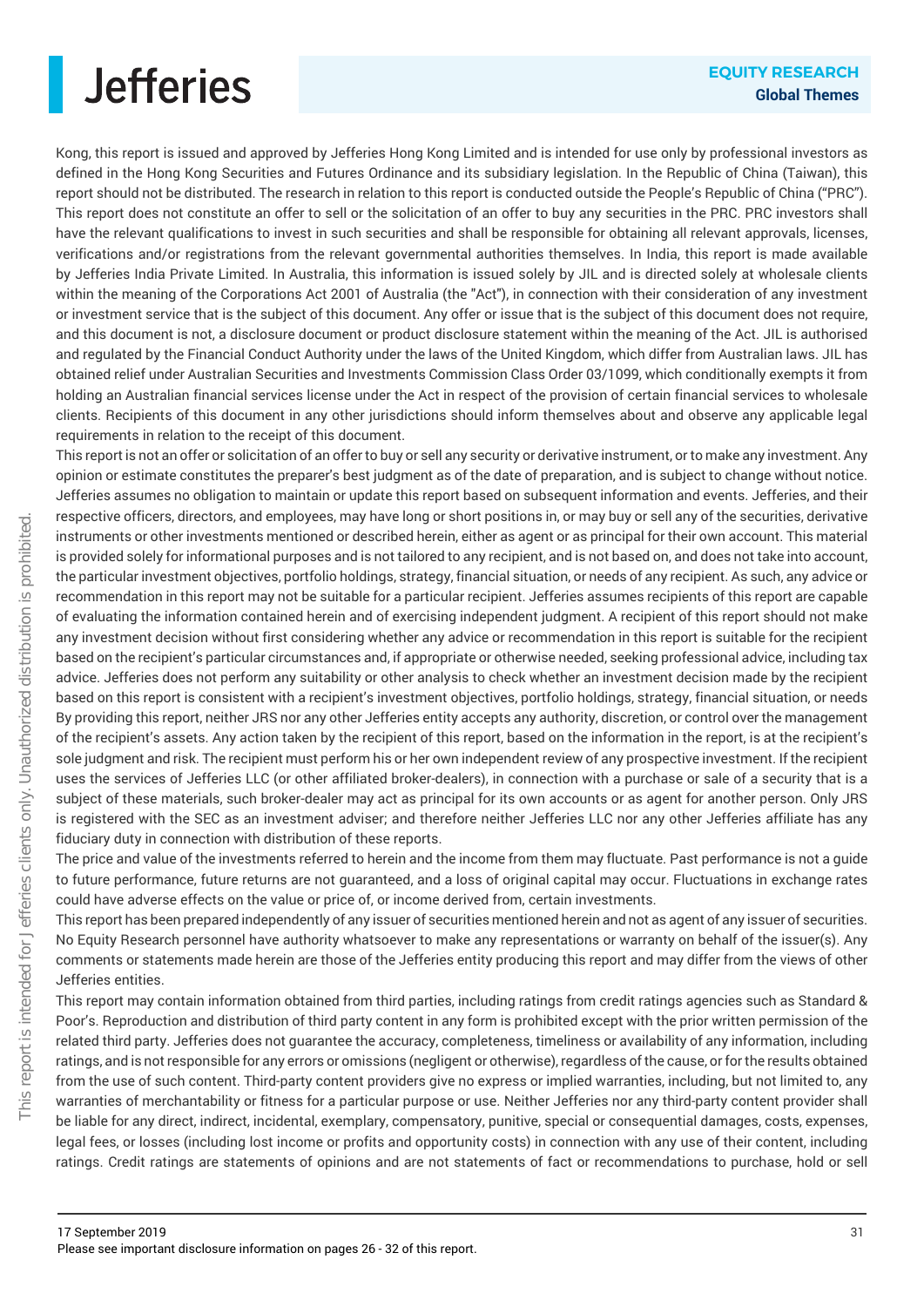

Kong, this report is issued and approved by Jefferies Hong Kong Limited and is intended for use only by professional investors as defined in the Hong Kong Securities and Futures Ordinance and its subsidiary legislation. In the Republic of China (Taiwan), this report should not be distributed. The research in relation to this report is conducted outside the People's Republic of China ("PRC"). This report does not constitute an offer to sell or the solicitation of an offer to buy any securities in the PRC. PRC investors shall have the relevant qualifications to invest in such securities and shall be responsible for obtaining all relevant approvals, licenses, verifications and/or registrations from the relevant governmental authorities themselves. In India, this report is made available by Jefferies India Private Limited. In Australia, this information is issued solely by JIL and is directed solely at wholesale clients within the meaning of the Corporations Act 2001 of Australia (the "Act"), in connection with their consideration of any investment or investment service that is the subject of this document. Any offer or issue that is the subject of this document does not require, and this document is not, a disclosure document or product disclosure statement within the meaning of the Act. JIL is authorised and regulated by the Financial Conduct Authority under the laws of the United Kingdom, which differ from Australian laws. JIL has obtained relief under Australian Securities and Investments Commission Class Order 03/1099, which conditionally exempts it from holding an Australian financial services license under the Act in respect of the provision of certain financial services to wholesale clients. Recipients of this document in any other jurisdictions should inform themselves about and observe any applicable legal requirements in relation to the receipt of this document.

This report is not an offer or solicitation of an offer to buy or sell any security or derivative instrument, or to make any investment. Any opinion or estimate constitutes the preparer's best judgment as of the date of preparation, and is subject to change without notice. Jefferies assumes no obligation to maintain or update this report based on subsequent information and events. Jefferies, and their respective officers, directors, and employees, may have long or short positions in, or may buy or sell any of the securities, derivative instruments or other investments mentioned or described herein, either as agent or as principal for their own account. This material is provided solely for informational purposes and is not tailored to any recipient, and is not based on, and does not take into account, the particular investment objectives, portfolio holdings, strategy, financial situation, or needs of any recipient. As such, any advice or recommendation in this report may not be suitable for a particular recipient. Jefferies assumes recipients of this report are capable of evaluating the information contained herein and of exercising independent judgment. A recipient of this report should not make any investment decision without first considering whether any advice or recommendation in this report is suitable for the recipient based on the recipient's particular circumstances and, if appropriate or otherwise needed, seeking professional advice, including tax advice. Jefferies does not perform any suitability or other analysis to check whether an investment decision made by the recipient based on this report is consistent with a recipient's investment objectives, portfolio holdings, strategy, financial situation, or needs By providing this report, neither JRS nor any other Jefferies entity accepts any authority, discretion, or control over the management of the recipient's assets. Any action taken by the recipient of this report, based on the information in the report, is at the recipient's sole judgment and risk. The recipient must perform his or her own independent review of any prospective investment. If the recipient uses the services of Jefferies LLC (or other affiliated broker-dealers), in connection with a purchase or sale of a security that is a subject of these materials, such broker-dealer may act as principal for its own accounts or as agent for another person. Only JRS is registered with the SEC as an investment adviser; and therefore neither Jefferies LLC nor any other Jefferies affiliate has any fiduciary duty in connection with distribution of these reports.

The price and value of the investments referred to herein and the income from them may fluctuate. Past performance is not a guide to future performance, future returns are not guaranteed, and a loss of original capital may occur. Fluctuations in exchange rates could have adverse effects on the value or price of, or income derived from, certain investments.

This report has been prepared independently of any issuer of securities mentioned herein and not as agent of any issuer of securities. No Equity Research personnel have authority whatsoever to make any representations or warranty on behalf of the issuer(s). Any comments or statements made herein are those of the Jefferies entity producing this report and may differ from the views of other Jefferies entities.

This report may contain information obtained from third parties, including ratings from credit ratings agencies such as Standard & Poor's. Reproduction and distribution of third party content in any form is prohibited except with the prior written permission of the related third party. Jefferies does not guarantee the accuracy, completeness, timeliness or availability of any information, including ratings, and is not responsible for any errors or omissions (negligent or otherwise), regardless of the cause, or for the results obtained from the use of such content. Third-party content providers give no express or implied warranties, including, but not limited to, any warranties of merchantability or fitness for a particular purpose or use. Neither Jefferies nor any third-party content provider shall be liable for any direct, indirect, incidental, exemplary, compensatory, punitive, special or consequential damages, costs, expenses, legal fees, or losses (including lost income or profits and opportunity costs) in connection with any use of their content, including ratings. Credit ratings are statements of opinions and are not statements of fact or recommendations to purchase, hold or sell